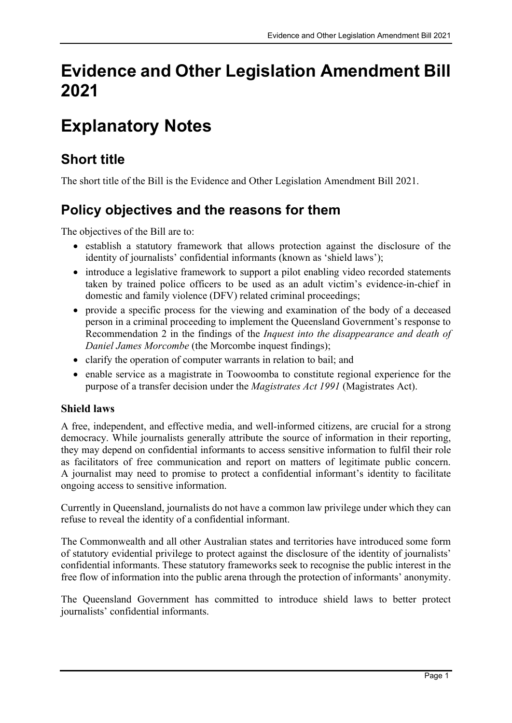# Evidence and Other Legislation Amendment Bill 2021

# Explanatory Notes

# Short title

The short title of the Bill is the Evidence and Other Legislation Amendment Bill 2021.

# Policy objectives and the reasons for them

The objectives of the Bill are to:

- establish a statutory framework that allows protection against the disclosure of the identity of journalists' confidential informants (known as 'shield laws');
- introduce a legislative framework to support a pilot enabling video recorded statements taken by trained police officers to be used as an adult victim's evidence-in-chief in domestic and family violence (DFV) related criminal proceedings;
- provide a specific process for the viewing and examination of the body of a deceased person in a criminal proceeding to implement the Queensland Government's response to Recommendation 2 in the findings of the Inquest into the disappearance and death of Daniel James Morcombe (the Morcombe inquest findings);
- clarify the operation of computer warrants in relation to bail; and
- enable service as a magistrate in Toowoomba to constitute regional experience for the purpose of a transfer decision under the Magistrates Act 1991 (Magistrates Act).

### Shield laws

A free, independent, and effective media, and well-informed citizens, are crucial for a strong democracy. While journalists generally attribute the source of information in their reporting, they may depend on confidential informants to access sensitive information to fulfil their role as facilitators of free communication and report on matters of legitimate public concern. A journalist may need to promise to protect a confidential informant's identity to facilitate ongoing access to sensitive information.

Currently in Queensland, journalists do not have a common law privilege under which they can refuse to reveal the identity of a confidential informant.

The Commonwealth and all other Australian states and territories have introduced some form of statutory evidential privilege to protect against the disclosure of the identity of journalists' confidential informants. These statutory frameworks seek to recognise the public interest in the free flow of information into the public arena through the protection of informants' anonymity.

The Queensland Government has committed to introduce shield laws to better protect journalists' confidential informants.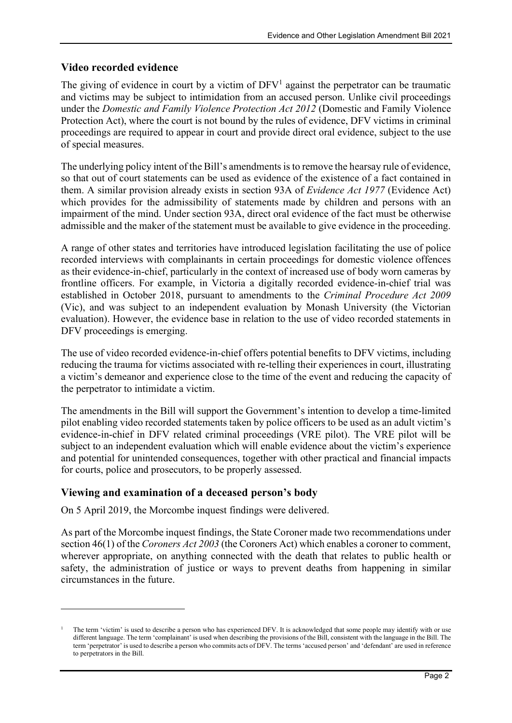#### Video recorded evidence

The giving of evidence in court by a victim of  $DFV<sup>1</sup>$  against the perpetrator can be traumatic and victims may be subject to intimidation from an accused person. Unlike civil proceedings under the Domestic and Family Violence Protection Act 2012 (Domestic and Family Violence Protection Act), where the court is not bound by the rules of evidence, DFV victims in criminal proceedings are required to appear in court and provide direct oral evidence, subject to the use of special measures.

The underlying policy intent of the Bill's amendments is to remove the hearsay rule of evidence, so that out of court statements can be used as evidence of the existence of a fact contained in them. A similar provision already exists in section 93A of Evidence Act 1977 (Evidence Act) which provides for the admissibility of statements made by children and persons with an impairment of the mind. Under section 93A, direct oral evidence of the fact must be otherwise admissible and the maker of the statement must be available to give evidence in the proceeding.

A range of other states and territories have introduced legislation facilitating the use of police recorded interviews with complainants in certain proceedings for domestic violence offences as their evidence-in-chief, particularly in the context of increased use of body worn cameras by frontline officers. For example, in Victoria a digitally recorded evidence-in-chief trial was established in October 2018, pursuant to amendments to the Criminal Procedure Act 2009 (Vic), and was subject to an independent evaluation by Monash University (the Victorian evaluation). However, the evidence base in relation to the use of video recorded statements in DFV proceedings is emerging.

The use of video recorded evidence-in-chief offers potential benefits to DFV victims, including reducing the trauma for victims associated with re-telling their experiences in court, illustrating a victim's demeanor and experience close to the time of the event and reducing the capacity of the perpetrator to intimidate a victim.

The amendments in the Bill will support the Government's intention to develop a time-limited pilot enabling video recorded statements taken by police officers to be used as an adult victim's evidence-in-chief in DFV related criminal proceedings (VRE pilot). The VRE pilot will be subject to an independent evaluation which will enable evidence about the victim's experience and potential for unintended consequences, together with other practical and financial impacts for courts, police and prosecutors, to be properly assessed.

#### Viewing and examination of a deceased person's body

On 5 April 2019, the Morcombe inquest findings were delivered.

As part of the Morcombe inquest findings, the State Coroner made two recommendations under section 46(1) of the *Coroners Act 2003* (the Coroners Act) which enables a coroner to comment, wherever appropriate, on anything connected with the death that relates to public health or safety, the administration of justice or ways to prevent deaths from happening in similar circumstances in the future.

<sup>1</sup> The term 'victim' is used to describe a person who has experienced DFV. It is acknowledged that some people may identify with or use different language. The term 'complainant' is used when describing the provisions of the Bill, consistent with the language in the Bill. The term 'perpetrator' is used to describe a person who commits acts of DFV. The terms 'accused person' and 'defendant' are used in reference to perpetrators in the Bill.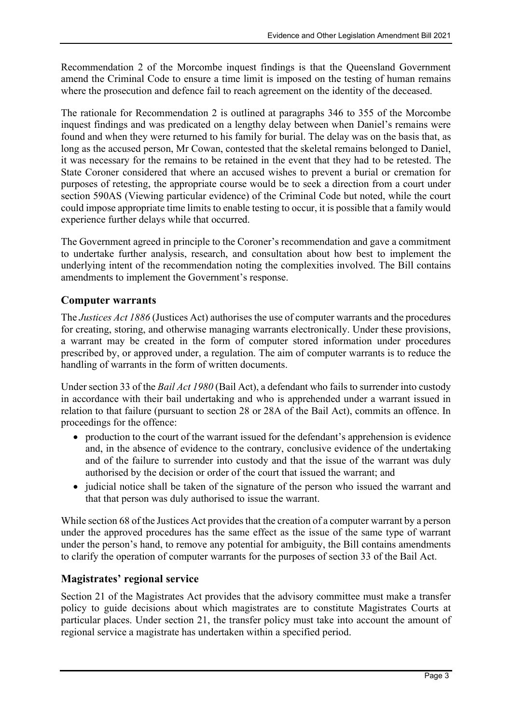Recommendation 2 of the Morcombe inquest findings is that the Queensland Government amend the Criminal Code to ensure a time limit is imposed on the testing of human remains where the prosecution and defence fail to reach agreement on the identity of the deceased.

The rationale for Recommendation 2 is outlined at paragraphs 346 to 355 of the Morcombe inquest findings and was predicated on a lengthy delay between when Daniel's remains were found and when they were returned to his family for burial. The delay was on the basis that, as long as the accused person, Mr Cowan, contested that the skeletal remains belonged to Daniel, it was necessary for the remains to be retained in the event that they had to be retested. The State Coroner considered that where an accused wishes to prevent a burial or cremation for purposes of retesting, the appropriate course would be to seek a direction from a court under section 590AS (Viewing particular evidence) of the Criminal Code but noted, while the court could impose appropriate time limits to enable testing to occur, it is possible that a family would experience further delays while that occurred.

The Government agreed in principle to the Coroner's recommendation and gave a commitment to undertake further analysis, research, and consultation about how best to implement the underlying intent of the recommendation noting the complexities involved. The Bill contains amendments to implement the Government's response.

#### Computer warrants

The Justices Act 1886 (Justices Act) authorises the use of computer warrants and the procedures for creating, storing, and otherwise managing warrants electronically. Under these provisions, a warrant may be created in the form of computer stored information under procedures prescribed by, or approved under, a regulation. The aim of computer warrants is to reduce the handling of warrants in the form of written documents.

Under section 33 of the Bail Act 1980 (Bail Act), a defendant who fails to surrender into custody in accordance with their bail undertaking and who is apprehended under a warrant issued in relation to that failure (pursuant to section 28 or 28A of the Bail Act), commits an offence. In proceedings for the offence:

- production to the court of the warrant issued for the defendant's apprehension is evidence and, in the absence of evidence to the contrary, conclusive evidence of the undertaking and of the failure to surrender into custody and that the issue of the warrant was duly authorised by the decision or order of the court that issued the warrant; and
- judicial notice shall be taken of the signature of the person who issued the warrant and that that person was duly authorised to issue the warrant.

While section 68 of the Justices Act provides that the creation of a computer warrant by a person under the approved procedures has the same effect as the issue of the same type of warrant under the person's hand, to remove any potential for ambiguity, the Bill contains amendments to clarify the operation of computer warrants for the purposes of section 33 of the Bail Act.

#### Magistrates' regional service

Section 21 of the Magistrates Act provides that the advisory committee must make a transfer policy to guide decisions about which magistrates are to constitute Magistrates Courts at particular places. Under section 21, the transfer policy must take into account the amount of regional service a magistrate has undertaken within a specified period.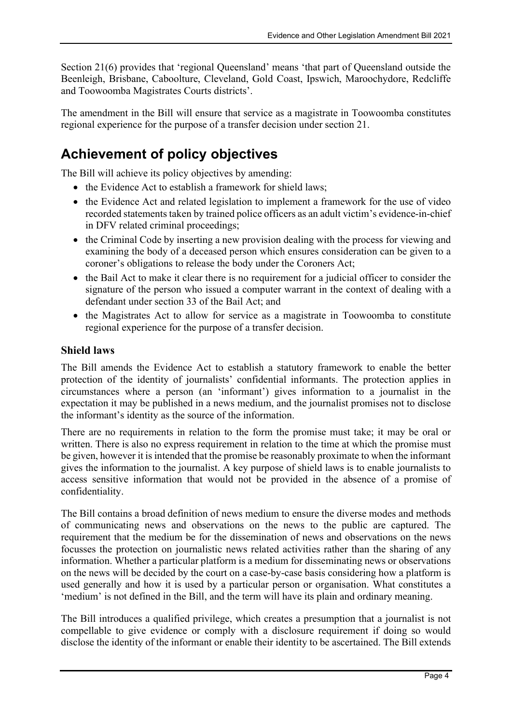Section 21(6) provides that 'regional Queensland' means 'that part of Queensland outside the Beenleigh, Brisbane, Caboolture, Cleveland, Gold Coast, Ipswich, Maroochydore, Redcliffe and Toowoomba Magistrates Courts districts'.

The amendment in the Bill will ensure that service as a magistrate in Toowoomba constitutes regional experience for the purpose of a transfer decision under section 21.

# Achievement of policy objectives

The Bill will achieve its policy objectives by amending:

- the Evidence Act to establish a framework for shield laws:
- the Evidence Act and related legislation to implement a framework for the use of video recorded statements taken by trained police officers as an adult victim's evidence-in-chief in DFV related criminal proceedings;
- the Criminal Code by inserting a new provision dealing with the process for viewing and examining the body of a deceased person which ensures consideration can be given to a coroner's obligations to release the body under the Coroners Act;
- the Bail Act to make it clear there is no requirement for a judicial officer to consider the signature of the person who issued a computer warrant in the context of dealing with a defendant under section 33 of the Bail Act; and
- the Magistrates Act to allow for service as a magistrate in Toowoomba to constitute regional experience for the purpose of a transfer decision.

#### Shield laws

The Bill amends the Evidence Act to establish a statutory framework to enable the better protection of the identity of journalists' confidential informants. The protection applies in circumstances where a person (an 'informant') gives information to a journalist in the expectation it may be published in a news medium, and the journalist promises not to disclose the informant's identity as the source of the information.

There are no requirements in relation to the form the promise must take; it may be oral or written. There is also no express requirement in relation to the time at which the promise must be given, however it is intended that the promise be reasonably proximate to when the informant gives the information to the journalist. A key purpose of shield laws is to enable journalists to access sensitive information that would not be provided in the absence of a promise of confidentiality.

The Bill contains a broad definition of news medium to ensure the diverse modes and methods of communicating news and observations on the news to the public are captured. The requirement that the medium be for the dissemination of news and observations on the news focusses the protection on journalistic news related activities rather than the sharing of any information. Whether a particular platform is a medium for disseminating news or observations on the news will be decided by the court on a case-by-case basis considering how a platform is used generally and how it is used by a particular person or organisation. What constitutes a 'medium' is not defined in the Bill, and the term will have its plain and ordinary meaning.

The Bill introduces a qualified privilege, which creates a presumption that a journalist is not compellable to give evidence or comply with a disclosure requirement if doing so would disclose the identity of the informant or enable their identity to be ascertained. The Bill extends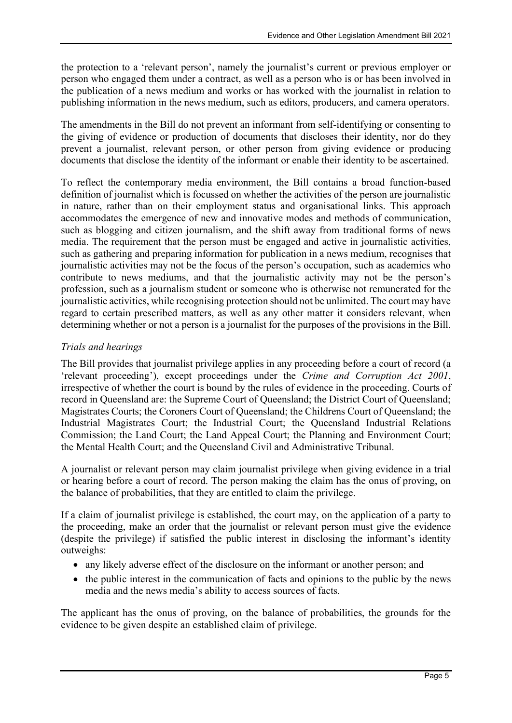the protection to a 'relevant person', namely the journalist's current or previous employer or person who engaged them under a contract, as well as a person who is or has been involved in the publication of a news medium and works or has worked with the journalist in relation to publishing information in the news medium, such as editors, producers, and camera operators.

The amendments in the Bill do not prevent an informant from self-identifying or consenting to the giving of evidence or production of documents that discloses their identity, nor do they prevent a journalist, relevant person, or other person from giving evidence or producing documents that disclose the identity of the informant or enable their identity to be ascertained.

To reflect the contemporary media environment, the Bill contains a broad function-based definition of journalist which is focussed on whether the activities of the person are journalistic in nature, rather than on their employment status and organisational links. This approach accommodates the emergence of new and innovative modes and methods of communication, such as blogging and citizen journalism, and the shift away from traditional forms of news media. The requirement that the person must be engaged and active in journalistic activities, such as gathering and preparing information for publication in a news medium, recognises that journalistic activities may not be the focus of the person's occupation, such as academics who contribute to news mediums, and that the journalistic activity may not be the person's profession, such as a journalism student or someone who is otherwise not remunerated for the journalistic activities, while recognising protection should not be unlimited. The court may have regard to certain prescribed matters, as well as any other matter it considers relevant, when determining whether or not a person is a journalist for the purposes of the provisions in the Bill.

#### Trials and hearings

The Bill provides that journalist privilege applies in any proceeding before a court of record (a 'relevant proceeding'), except proceedings under the Crime and Corruption Act 2001, irrespective of whether the court is bound by the rules of evidence in the proceeding. Courts of record in Queensland are: the Supreme Court of Queensland; the District Court of Queensland; Magistrates Courts; the Coroners Court of Queensland; the Childrens Court of Queensland; the Industrial Magistrates Court; the Industrial Court; the Queensland Industrial Relations Commission; the Land Court; the Land Appeal Court; the Planning and Environment Court; the Mental Health Court; and the Queensland Civil and Administrative Tribunal.

A journalist or relevant person may claim journalist privilege when giving evidence in a trial or hearing before a court of record. The person making the claim has the onus of proving, on the balance of probabilities, that they are entitled to claim the privilege.

If a claim of journalist privilege is established, the court may, on the application of a party to the proceeding, make an order that the journalist or relevant person must give the evidence (despite the privilege) if satisfied the public interest in disclosing the informant's identity outweighs:

- any likely adverse effect of the disclosure on the informant or another person; and
- the public interest in the communication of facts and opinions to the public by the news media and the news media's ability to access sources of facts.

The applicant has the onus of proving, on the balance of probabilities, the grounds for the evidence to be given despite an established claim of privilege.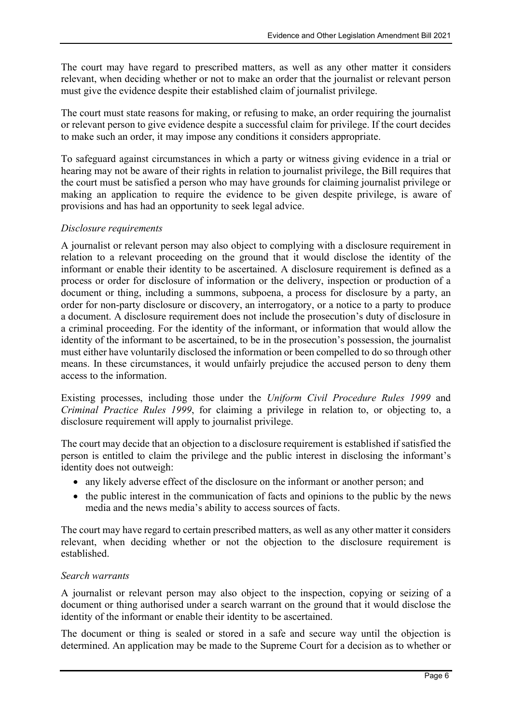The court may have regard to prescribed matters, as well as any other matter it considers relevant, when deciding whether or not to make an order that the journalist or relevant person must give the evidence despite their established claim of journalist privilege.

The court must state reasons for making, or refusing to make, an order requiring the journalist or relevant person to give evidence despite a successful claim for privilege. If the court decides to make such an order, it may impose any conditions it considers appropriate.

To safeguard against circumstances in which a party or witness giving evidence in a trial or hearing may not be aware of their rights in relation to journalist privilege, the Bill requires that the court must be satisfied a person who may have grounds for claiming journalist privilege or making an application to require the evidence to be given despite privilege, is aware of provisions and has had an opportunity to seek legal advice.

#### Disclosure requirements

A journalist or relevant person may also object to complying with a disclosure requirement in relation to a relevant proceeding on the ground that it would disclose the identity of the informant or enable their identity to be ascertained. A disclosure requirement is defined as a process or order for disclosure of information or the delivery, inspection or production of a document or thing, including a summons, subpoena, a process for disclosure by a party, an order for non-party disclosure or discovery, an interrogatory, or a notice to a party to produce a document. A disclosure requirement does not include the prosecution's duty of disclosure in a criminal proceeding. For the identity of the informant, or information that would allow the identity of the informant to be ascertained, to be in the prosecution's possession, the journalist must either have voluntarily disclosed the information or been compelled to do so through other means. In these circumstances, it would unfairly prejudice the accused person to deny them access to the information.

Existing processes, including those under the Uniform Civil Procedure Rules 1999 and Criminal Practice Rules 1999, for claiming a privilege in relation to, or objecting to, a disclosure requirement will apply to journalist privilege.

The court may decide that an objection to a disclosure requirement is established if satisfied the person is entitled to claim the privilege and the public interest in disclosing the informant's identity does not outweigh:

- any likely adverse effect of the disclosure on the informant or another person; and
- the public interest in the communication of facts and opinions to the public by the news media and the news media's ability to access sources of facts.

The court may have regard to certain prescribed matters, as well as any other matter it considers relevant, when deciding whether or not the objection to the disclosure requirement is established.

#### Search warrants

A journalist or relevant person may also object to the inspection, copying or seizing of a document or thing authorised under a search warrant on the ground that it would disclose the identity of the informant or enable their identity to be ascertained.

The document or thing is sealed or stored in a safe and secure way until the objection is determined. An application may be made to the Supreme Court for a decision as to whether or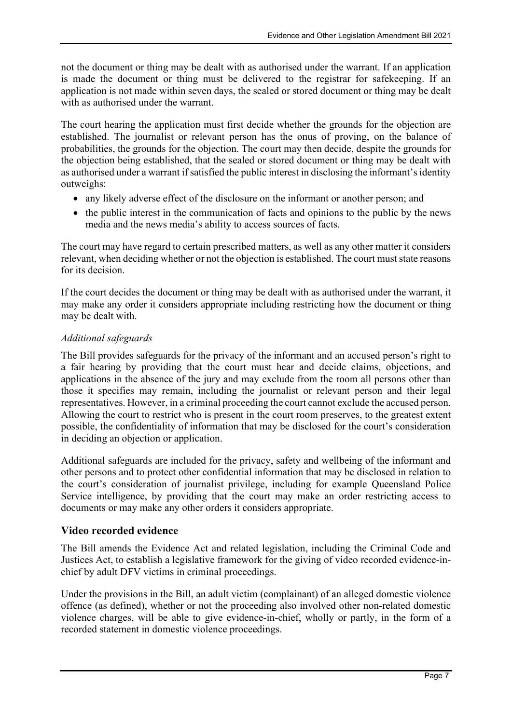not the document or thing may be dealt with as authorised under the warrant. If an application is made the document or thing must be delivered to the registrar for safekeeping. If an application is not made within seven days, the sealed or stored document or thing may be dealt with as authorised under the warrant.

The court hearing the application must first decide whether the grounds for the objection are established. The journalist or relevant person has the onus of proving, on the balance of probabilities, the grounds for the objection. The court may then decide, despite the grounds for the objection being established, that the sealed or stored document or thing may be dealt with as authorised under a warrant if satisfied the public interest in disclosing the informant's identity outweighs:

- any likely adverse effect of the disclosure on the informant or another person; and
- the public interest in the communication of facts and opinions to the public by the news media and the news media's ability to access sources of facts.

The court may have regard to certain prescribed matters, as well as any other matter it considers relevant, when deciding whether or not the objection is established. The court must state reasons for its decision.

If the court decides the document or thing may be dealt with as authorised under the warrant, it may make any order it considers appropriate including restricting how the document or thing may be dealt with.

#### Additional safeguards

The Bill provides safeguards for the privacy of the informant and an accused person's right to a fair hearing by providing that the court must hear and decide claims, objections, and applications in the absence of the jury and may exclude from the room all persons other than those it specifies may remain, including the journalist or relevant person and their legal representatives. However, in a criminal proceeding the court cannot exclude the accused person. Allowing the court to restrict who is present in the court room preserves, to the greatest extent possible, the confidentiality of information that may be disclosed for the court's consideration in deciding an objection or application.

Additional safeguards are included for the privacy, safety and wellbeing of the informant and other persons and to protect other confidential information that may be disclosed in relation to the court's consideration of journalist privilege, including for example Queensland Police Service intelligence, by providing that the court may make an order restricting access to documents or may make any other orders it considers appropriate.

#### Video recorded evidence

The Bill amends the Evidence Act and related legislation, including the Criminal Code and Justices Act, to establish a legislative framework for the giving of video recorded evidence-inchief by adult DFV victims in criminal proceedings.

Under the provisions in the Bill, an adult victim (complainant) of an alleged domestic violence offence (as defined), whether or not the proceeding also involved other non-related domestic violence charges, will be able to give evidence-in-chief, wholly or partly, in the form of a recorded statement in domestic violence proceedings.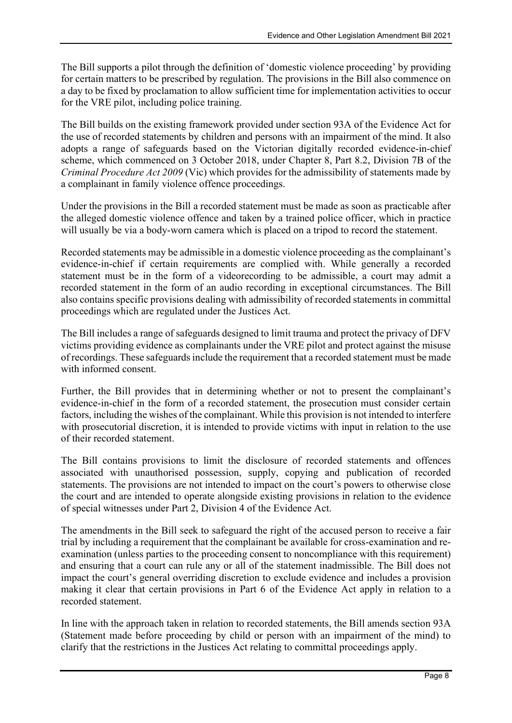The Bill supports a pilot through the definition of 'domestic violence proceeding' by providing for certain matters to be prescribed by regulation. The provisions in the Bill also commence on a day to be fixed by proclamation to allow sufficient time for implementation activities to occur for the VRE pilot, including police training.

The Bill builds on the existing framework provided under section 93A of the Evidence Act for the use of recorded statements by children and persons with an impairment of the mind. It also adopts a range of safeguards based on the Victorian digitally recorded evidence-in-chief scheme, which commenced on 3 October 2018, under Chapter 8, Part 8.2, Division 7B of the Criminal Procedure Act 2009 (Vic) which provides for the admissibility of statements made by a complainant in family violence offence proceedings.

Under the provisions in the Bill a recorded statement must be made as soon as practicable after the alleged domestic violence offence and taken by a trained police officer, which in practice will usually be via a body-worn camera which is placed on a tripod to record the statement.

Recorded statements may be admissible in a domestic violence proceeding as the complainant's evidence-in-chief if certain requirements are complied with. While generally a recorded statement must be in the form of a videorecording to be admissible, a court may admit a recorded statement in the form of an audio recording in exceptional circumstances. The Bill also contains specific provisions dealing with admissibility of recorded statements in committal proceedings which are regulated under the Justices Act.

The Bill includes a range of safeguards designed to limit trauma and protect the privacy of DFV victims providing evidence as complainants under the VRE pilot and protect against the misuse of recordings. These safeguards include the requirement that a recorded statement must be made with informed consent.

Further, the Bill provides that in determining whether or not to present the complainant's evidence-in-chief in the form of a recorded statement, the prosecution must consider certain factors, including the wishes of the complainant. While this provision is not intended to interfere with prosecutorial discretion, it is intended to provide victims with input in relation to the use of their recorded statement.

The Bill contains provisions to limit the disclosure of recorded statements and offences associated with unauthorised possession, supply, copying and publication of recorded statements. The provisions are not intended to impact on the court's powers to otherwise close the court and are intended to operate alongside existing provisions in relation to the evidence of special witnesses under Part 2, Division 4 of the Evidence Act.

The amendments in the Bill seek to safeguard the right of the accused person to receive a fair trial by including a requirement that the complainant be available for cross-examination and reexamination (unless parties to the proceeding consent to noncompliance with this requirement) and ensuring that a court can rule any or all of the statement inadmissible. The Bill does not impact the court's general overriding discretion to exclude evidence and includes a provision making it clear that certain provisions in Part 6 of the Evidence Act apply in relation to a recorded statement.

In line with the approach taken in relation to recorded statements, the Bill amends section 93A (Statement made before proceeding by child or person with an impairment of the mind) to clarify that the restrictions in the Justices Act relating to committal proceedings apply.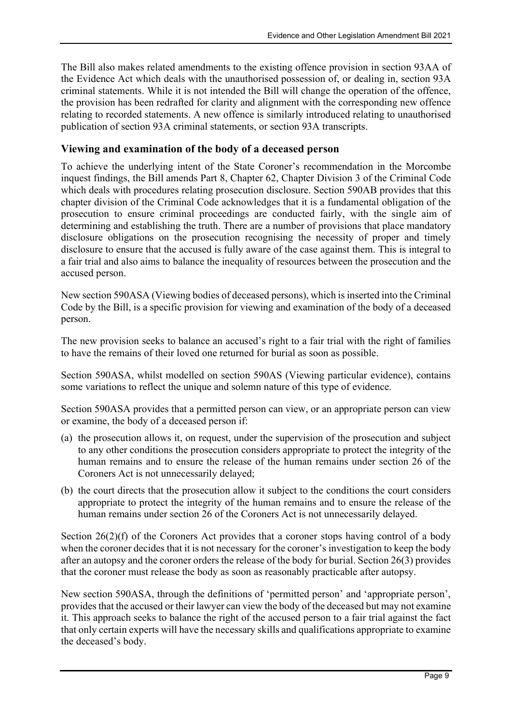The Bill also makes related amendments to the existing offence provision in section 93AA of the Evidence Act which deals with the unauthorised possession of, or dealing in, section 93A criminal statements. While it is not intended the Bill will change the operation of the offence, the provision has been redrafted for clarity and alignment with the corresponding new offence relating to recorded statements. A new offence is similarly introduced relating to unauthorised publication of section 93A criminal statements, or section 93A transcripts.

#### Viewing and examination of the body of a deceased person

To achieve the underlying intent of the State Coroner's recommendation in the Morcombe inquest findings, the Bill amends Part 8, Chapter 62, Chapter Division 3 of the Criminal Code which deals with procedures relating prosecution disclosure. Section 590AB provides that this chapter division of the Criminal Code acknowledges that it is a fundamental obligation of the prosecution to ensure criminal proceedings are conducted fairly, with the single aim of determining and establishing the truth. There are a number of provisions that place mandatory disclosure obligations on the prosecution recognising the necessity of proper and timely disclosure to ensure that the accused is fully aware of the case against them. This is integral to a fair trial and also aims to balance the inequality of resources between the prosecution and the accused person.

New section 590ASA (Viewing bodies of deceased persons), which is inserted into the Criminal Code by the Bill, is a specific provision for viewing and examination of the body of a deceased person.

The new provision seeks to balance an accused's right to a fair trial with the right of families to have the remains of their loved one returned for burial as soon as possible.

Section 590ASA, whilst modelled on section 590AS (Viewing particular evidence), contains some variations to reflect the unique and solemn nature of this type of evidence.

Section 590ASA provides that a permitted person can view, or an appropriate person can view or examine, the body of a deceased person if:

- (a) the prosecution allows it, on request, under the supervision of the prosecution and subject to any other conditions the prosecution considers appropriate to protect the integrity of the human remains and to ensure the release of the human remains under section 26 of the Coroners Act is not unnecessarily delayed;
- (b) the court directs that the prosecution allow it subject to the conditions the court considers appropriate to protect the integrity of the human remains and to ensure the release of the human remains under section 26 of the Coroners Act is not unnecessarily delayed.

Section 26(2)(f) of the Coroners Act provides that a coroner stops having control of a body when the coroner decides that it is not necessary for the coroner's investigation to keep the body after an autopsy and the coroner orders the release of the body for burial. Section 26(3) provides that the coroner must release the body as soon as reasonably practicable after autopsy.

New section 590ASA, through the definitions of 'permitted person' and 'appropriate person', provides that the accused or their lawyer can view the body of the deceased but may not examine it. This approach seeks to balance the right of the accused person to a fair trial against the fact that only certain experts will have the necessary skills and qualifications appropriate to examine the deceased's body.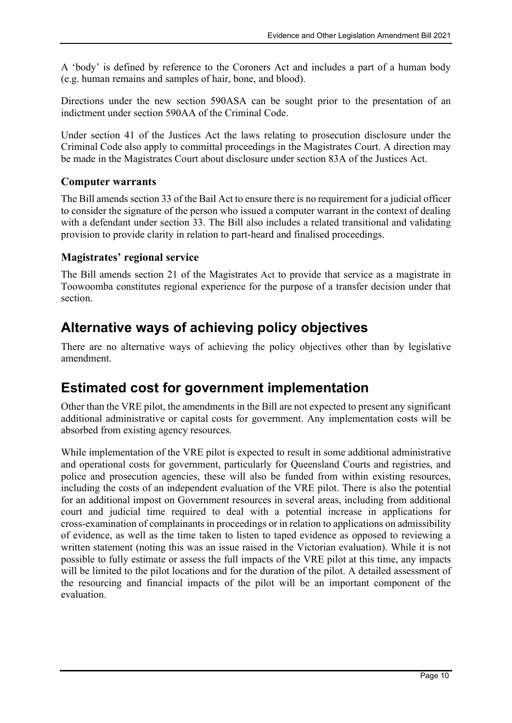A 'body' is defined by reference to the Coroners Act and includes a part of a human body (e.g. human remains and samples of hair, bone, and blood).

Directions under the new section 590ASA can be sought prior to the presentation of an indictment under section 590AA of the Criminal Code.

Under section 41 of the Justices Act the laws relating to prosecution disclosure under the Criminal Code also apply to committal proceedings in the Magistrates Court. A direction may be made in the Magistrates Court about disclosure under section 83A of the Justices Act.

#### Computer warrants

The Bill amends section 33 of the Bail Act to ensure there is no requirement for a judicial officer to consider the signature of the person who issued a computer warrant in the context of dealing with a defendant under section 33. The Bill also includes a related transitional and validating provision to provide clarity in relation to part-heard and finalised proceedings.

#### Magistrates' regional service

The Bill amends section 21 of the Magistrates Act to provide that service as a magistrate in Toowoomba constitutes regional experience for the purpose of a transfer decision under that section.

## Alternative ways of achieving policy objectives

There are no alternative ways of achieving the policy objectives other than by legislative amendment.

## Estimated cost for government implementation

Other than the VRE pilot, the amendments in the Bill are not expected to present any significant additional administrative or capital costs for government. Any implementation costs will be absorbed from existing agency resources.

While implementation of the VRE pilot is expected to result in some additional administrative and operational costs for government, particularly for Queensland Courts and registries, and police and prosecution agencies, these will also be funded from within existing resources, including the costs of an independent evaluation of the VRE pilot. There is also the potential for an additional impost on Government resources in several areas, including from additional court and judicial time required to deal with a potential increase in applications for cross-examination of complainants in proceedings or in relation to applications on admissibility of evidence, as well as the time taken to listen to taped evidence as opposed to reviewing a written statement (noting this was an issue raised in the Victorian evaluation). While it is not possible to fully estimate or assess the full impacts of the VRE pilot at this time, any impacts will be limited to the pilot locations and for the duration of the pilot. A detailed assessment of the resourcing and financial impacts of the pilot will be an important component of the evaluation.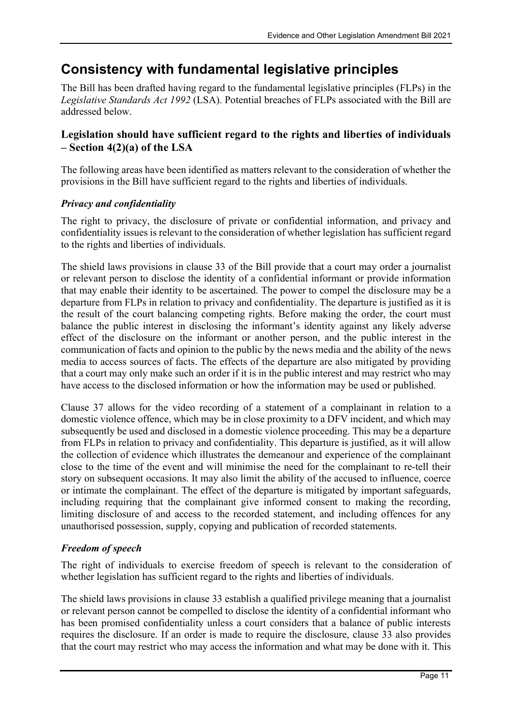## Consistency with fundamental legislative principles

The Bill has been drafted having regard to the fundamental legislative principles (FLPs) in the Legislative Standards Act 1992 (LSA). Potential breaches of FLPs associated with the Bill are addressed below.

#### Legislation should have sufficient regard to the rights and liberties of individuals  $-$  Section 4(2)(a) of the LSA

The following areas have been identified as matters relevant to the consideration of whether the provisions in the Bill have sufficient regard to the rights and liberties of individuals.

#### Privacy and confidentiality

The right to privacy, the disclosure of private or confidential information, and privacy and confidentiality issues is relevant to the consideration of whether legislation has sufficient regard to the rights and liberties of individuals.

The shield laws provisions in clause 33 of the Bill provide that a court may order a journalist or relevant person to disclose the identity of a confidential informant or provide information that may enable their identity to be ascertained. The power to compel the disclosure may be a departure from FLPs in relation to privacy and confidentiality. The departure is justified as it is the result of the court balancing competing rights. Before making the order, the court must balance the public interest in disclosing the informant's identity against any likely adverse effect of the disclosure on the informant or another person, and the public interest in the communication of facts and opinion to the public by the news media and the ability of the news media to access sources of facts. The effects of the departure are also mitigated by providing that a court may only make such an order if it is in the public interest and may restrict who may have access to the disclosed information or how the information may be used or published.

Clause 37 allows for the video recording of a statement of a complainant in relation to a domestic violence offence, which may be in close proximity to a DFV incident, and which may subsequently be used and disclosed in a domestic violence proceeding. This may be a departure from FLPs in relation to privacy and confidentiality. This departure is justified, as it will allow the collection of evidence which illustrates the demeanour and experience of the complainant close to the time of the event and will minimise the need for the complainant to re-tell their story on subsequent occasions. It may also limit the ability of the accused to influence, coerce or intimate the complainant. The effect of the departure is mitigated by important safeguards, including requiring that the complainant give informed consent to making the recording, limiting disclosure of and access to the recorded statement, and including offences for any unauthorised possession, supply, copying and publication of recorded statements.

#### Freedom of speech

The right of individuals to exercise freedom of speech is relevant to the consideration of whether legislation has sufficient regard to the rights and liberties of individuals.

The shield laws provisions in clause 33 establish a qualified privilege meaning that a journalist or relevant person cannot be compelled to disclose the identity of a confidential informant who has been promised confidentiality unless a court considers that a balance of public interests requires the disclosure. If an order is made to require the disclosure, clause 33 also provides that the court may restrict who may access the information and what may be done with it. This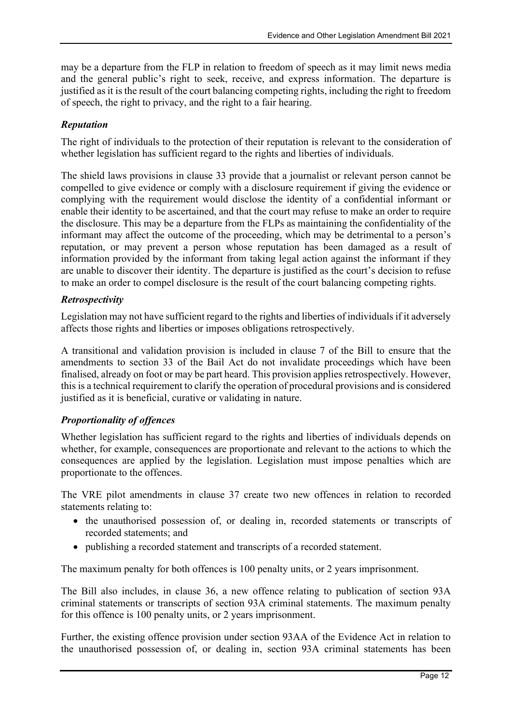may be a departure from the FLP in relation to freedom of speech as it may limit news media and the general public's right to seek, receive, and express information. The departure is justified as it is the result of the court balancing competing rights, including the right to freedom of speech, the right to privacy, and the right to a fair hearing.

#### Reputation

The right of individuals to the protection of their reputation is relevant to the consideration of whether legislation has sufficient regard to the rights and liberties of individuals.

The shield laws provisions in clause 33 provide that a journalist or relevant person cannot be compelled to give evidence or comply with a disclosure requirement if giving the evidence or complying with the requirement would disclose the identity of a confidential informant or enable their identity to be ascertained, and that the court may refuse to make an order to require the disclosure. This may be a departure from the FLPs as maintaining the confidentiality of the informant may affect the outcome of the proceeding, which may be detrimental to a person's reputation, or may prevent a person whose reputation has been damaged as a result of information provided by the informant from taking legal action against the informant if they are unable to discover their identity. The departure is justified as the court's decision to refuse to make an order to compel disclosure is the result of the court balancing competing rights.

#### Retrospectivity

Legislation may not have sufficient regard to the rights and liberties of individuals if it adversely affects those rights and liberties or imposes obligations retrospectively.

A transitional and validation provision is included in clause 7 of the Bill to ensure that the amendments to section 33 of the Bail Act do not invalidate proceedings which have been finalised, already on foot or may be part heard. This provision applies retrospectively. However, this is a technical requirement to clarify the operation of procedural provisions and is considered justified as it is beneficial, curative or validating in nature.

#### Proportionality of offences

Whether legislation has sufficient regard to the rights and liberties of individuals depends on whether, for example, consequences are proportionate and relevant to the actions to which the consequences are applied by the legislation. Legislation must impose penalties which are proportionate to the offences.

The VRE pilot amendments in clause 37 create two new offences in relation to recorded statements relating to:

- the unauthorised possession of, or dealing in, recorded statements or transcripts of recorded statements; and
- publishing a recorded statement and transcripts of a recorded statement.

The maximum penalty for both offences is 100 penalty units, or 2 years imprisonment.

The Bill also includes, in clause 36, a new offence relating to publication of section 93A criminal statements or transcripts of section 93A criminal statements. The maximum penalty for this offence is 100 penalty units, or 2 years imprisonment.

Further, the existing offence provision under section 93AA of the Evidence Act in relation to the unauthorised possession of, or dealing in, section 93A criminal statements has been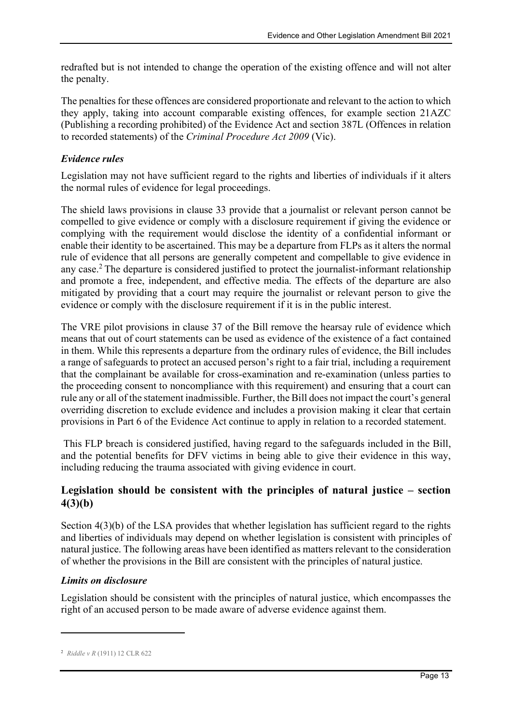redrafted but is not intended to change the operation of the existing offence and will not alter the penalty.

The penalties for these offences are considered proportionate and relevant to the action to which they apply, taking into account comparable existing offences, for example section 21AZC (Publishing a recording prohibited) of the Evidence Act and section 387L (Offences in relation to recorded statements) of the Criminal Procedure Act 2009 (Vic).

#### Evidence rules

Legislation may not have sufficient regard to the rights and liberties of individuals if it alters the normal rules of evidence for legal proceedings.

The shield laws provisions in clause 33 provide that a journalist or relevant person cannot be compelled to give evidence or comply with a disclosure requirement if giving the evidence or complying with the requirement would disclose the identity of a confidential informant or enable their identity to be ascertained. This may be a departure from FLPs as it alters the normal rule of evidence that all persons are generally competent and compellable to give evidence in any case.<sup>2</sup>The departure is considered justified to protect the journalist-informant relationship and promote a free, independent, and effective media. The effects of the departure are also mitigated by providing that a court may require the journalist or relevant person to give the evidence or comply with the disclosure requirement if it is in the public interest.

The VRE pilot provisions in clause 37 of the Bill remove the hearsay rule of evidence which means that out of court statements can be used as evidence of the existence of a fact contained in them. While this represents a departure from the ordinary rules of evidence, the Bill includes a range of safeguards to protect an accused person's right to a fair trial, including a requirement that the complainant be available for cross-examination and re-examination (unless parties to the proceeding consent to noncompliance with this requirement) and ensuring that a court can rule any or all of the statement inadmissible. Further, the Bill does not impact the court's general overriding discretion to exclude evidence and includes a provision making it clear that certain provisions in Part 6 of the Evidence Act continue to apply in relation to a recorded statement.

 This FLP breach is considered justified, having regard to the safeguards included in the Bill, and the potential benefits for DFV victims in being able to give their evidence in this way, including reducing the trauma associated with giving evidence in court.

#### Legislation should be consistent with the principles of natural justice – section 4(3)(b)

Section 4(3)(b) of the LSA provides that whether legislation has sufficient regard to the rights and liberties of individuals may depend on whether legislation is consistent with principles of natural justice. The following areas have been identified as matters relevant to the consideration of whether the provisions in the Bill are consistent with the principles of natural justice.

#### Limits on disclosure

Legislation should be consistent with the principles of natural justice, which encompasses the right of an accused person to be made aware of adverse evidence against them.

<sup>&</sup>lt;sup>2</sup> Riddle v R (1911) 12 CLR 622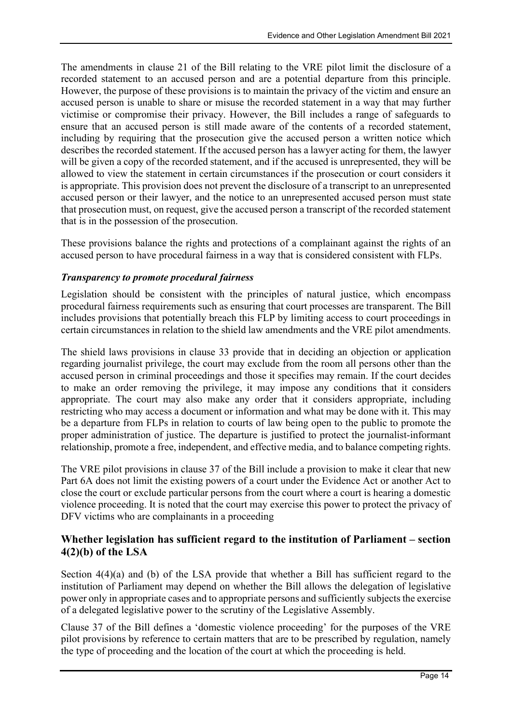The amendments in clause 21 of the Bill relating to the VRE pilot limit the disclosure of a recorded statement to an accused person and are a potential departure from this principle. However, the purpose of these provisions is to maintain the privacy of the victim and ensure an accused person is unable to share or misuse the recorded statement in a way that may further victimise or compromise their privacy. However, the Bill includes a range of safeguards to ensure that an accused person is still made aware of the contents of a recorded statement, including by requiring that the prosecution give the accused person a written notice which describes the recorded statement. If the accused person has a lawyer acting for them, the lawyer will be given a copy of the recorded statement, and if the accused is unrepresented, they will be allowed to view the statement in certain circumstances if the prosecution or court considers it is appropriate. This provision does not prevent the disclosure of a transcript to an unrepresented accused person or their lawyer, and the notice to an unrepresented accused person must state that prosecution must, on request, give the accused person a transcript of the recorded statement that is in the possession of the prosecution.

These provisions balance the rights and protections of a complainant against the rights of an accused person to have procedural fairness in a way that is considered consistent with FLPs.

#### Transparency to promote procedural fairness

Legislation should be consistent with the principles of natural justice, which encompass procedural fairness requirements such as ensuring that court processes are transparent. The Bill includes provisions that potentially breach this FLP by limiting access to court proceedings in certain circumstances in relation to the shield law amendments and the VRE pilot amendments.

The shield laws provisions in clause 33 provide that in deciding an objection or application regarding journalist privilege, the court may exclude from the room all persons other than the accused person in criminal proceedings and those it specifies may remain. If the court decides to make an order removing the privilege, it may impose any conditions that it considers appropriate. The court may also make any order that it considers appropriate, including restricting who may access a document or information and what may be done with it. This may be a departure from FLPs in relation to courts of law being open to the public to promote the proper administration of justice. The departure is justified to protect the journalist-informant relationship, promote a free, independent, and effective media, and to balance competing rights.

The VRE pilot provisions in clause 37 of the Bill include a provision to make it clear that new Part 6A does not limit the existing powers of a court under the Evidence Act or another Act to close the court or exclude particular persons from the court where a court is hearing a domestic violence proceeding. It is noted that the court may exercise this power to protect the privacy of DFV victims who are complainants in a proceeding

#### Whether legislation has sufficient regard to the institution of Parliament – section 4(2)(b) of the LSA

Section 4(4)(a) and (b) of the LSA provide that whether a Bill has sufficient regard to the institution of Parliament may depend on whether the Bill allows the delegation of legislative power only in appropriate cases and to appropriate persons and sufficiently subjects the exercise of a delegated legislative power to the scrutiny of the Legislative Assembly.

Clause 37 of the Bill defines a 'domestic violence proceeding' for the purposes of the VRE pilot provisions by reference to certain matters that are to be prescribed by regulation, namely the type of proceeding and the location of the court at which the proceeding is held.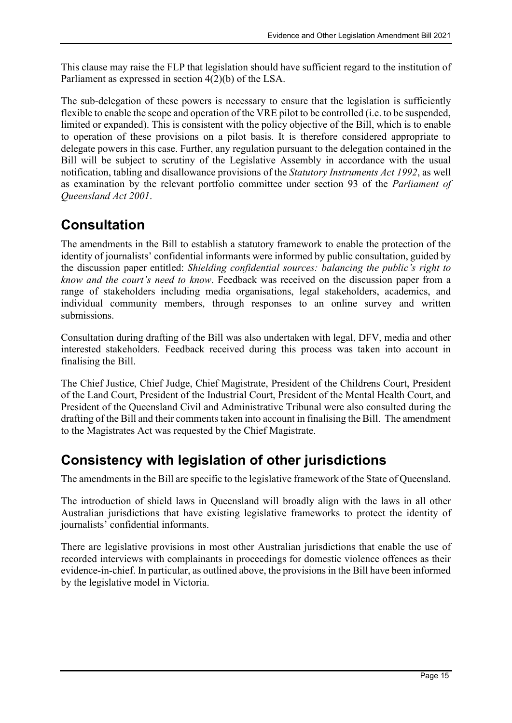This clause may raise the FLP that legislation should have sufficient regard to the institution of Parliament as expressed in section 4(2)(b) of the LSA.

The sub-delegation of these powers is necessary to ensure that the legislation is sufficiently flexible to enable the scope and operation of the VRE pilot to be controlled (i.e. to be suspended, limited or expanded). This is consistent with the policy objective of the Bill, which is to enable to operation of these provisions on a pilot basis. It is therefore considered appropriate to delegate powers in this case. Further, any regulation pursuant to the delegation contained in the Bill will be subject to scrutiny of the Legislative Assembly in accordance with the usual notification, tabling and disallowance provisions of the Statutory Instruments Act 1992, as well as examination by the relevant portfolio committee under section 93 of the Parliament of Queensland Act 2001.

# Consultation

The amendments in the Bill to establish a statutory framework to enable the protection of the identity of journalists' confidential informants were informed by public consultation, guided by the discussion paper entitled: Shielding confidential sources: balancing the public's right to know and the court's need to know. Feedback was received on the discussion paper from a range of stakeholders including media organisations, legal stakeholders, academics, and individual community members, through responses to an online survey and written submissions.

Consultation during drafting of the Bill was also undertaken with legal, DFV, media and other interested stakeholders. Feedback received during this process was taken into account in finalising the Bill.

The Chief Justice, Chief Judge, Chief Magistrate, President of the Childrens Court, President of the Land Court, President of the Industrial Court, President of the Mental Health Court, and President of the Queensland Civil and Administrative Tribunal were also consulted during the drafting of the Bill and their comments taken into account in finalising the Bill. The amendment to the Magistrates Act was requested by the Chief Magistrate.

# Consistency with legislation of other jurisdictions

The amendments in the Bill are specific to the legislative framework of the State of Queensland.

The introduction of shield laws in Queensland will broadly align with the laws in all other Australian jurisdictions that have existing legislative frameworks to protect the identity of journalists' confidential informants.

There are legislative provisions in most other Australian jurisdictions that enable the use of recorded interviews with complainants in proceedings for domestic violence offences as their evidence-in-chief. In particular, as outlined above, the provisions in the Bill have been informed by the legislative model in Victoria.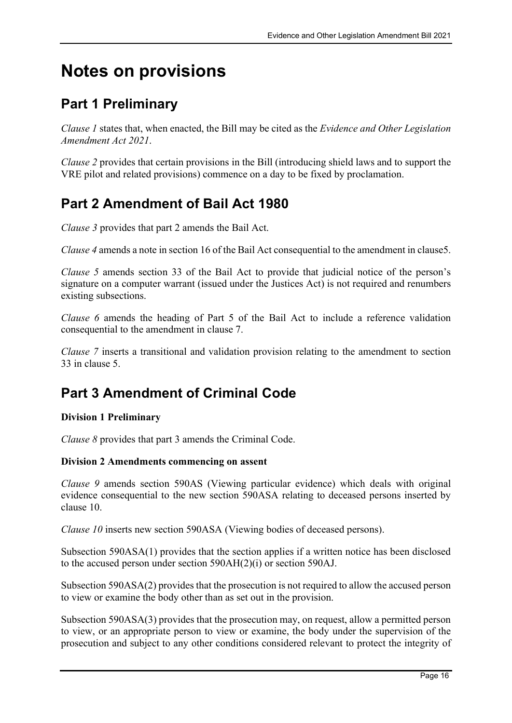# Notes on provisions

# Part 1 Preliminary

Clause 1 states that, when enacted, the Bill may be cited as the Evidence and Other Legislation Amendment Act 2021.

Clause 2 provides that certain provisions in the Bill (introducing shield laws and to support the VRE pilot and related provisions) commence on a day to be fixed by proclamation.

# Part 2 Amendment of Bail Act 1980

Clause 3 provides that part 2 amends the Bail Act.

Clause 4 amends a note in section 16 of the Bail Act consequential to the amendment in clause5.

Clause 5 amends section 33 of the Bail Act to provide that judicial notice of the person's signature on a computer warrant (issued under the Justices Act) is not required and renumbers existing subsections.

Clause 6 amends the heading of Part 5 of the Bail Act to include a reference validation consequential to the amendment in clause 7.

Clause 7 inserts a transitional and validation provision relating to the amendment to section 33 in clause 5.

## Part 3 Amendment of Criminal Code

#### Division 1 Preliminary

Clause 8 provides that part 3 amends the Criminal Code.

#### Division 2 Amendments commencing on assent

Clause 9 amends section 590AS (Viewing particular evidence) which deals with original evidence consequential to the new section 590ASA relating to deceased persons inserted by clause 10.

Clause 10 inserts new section 590ASA (Viewing bodies of deceased persons).

Subsection 590ASA(1) provides that the section applies if a written notice has been disclosed to the accused person under section 590AH(2)(i) or section 590AJ.

Subsection 590ASA(2) provides that the prosecution is not required to allow the accused person to view or examine the body other than as set out in the provision.

Subsection 590ASA(3) provides that the prosecution may, on request, allow a permitted person to view, or an appropriate person to view or examine, the body under the supervision of the prosecution and subject to any other conditions considered relevant to protect the integrity of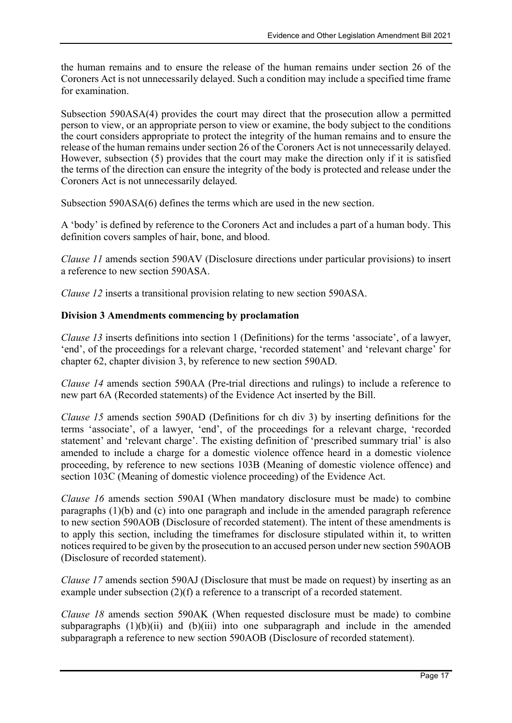the human remains and to ensure the release of the human remains under section 26 of the Coroners Act is not unnecessarily delayed. Such a condition may include a specified time frame for examination.

Subsection 590ASA(4) provides the court may direct that the prosecution allow a permitted person to view, or an appropriate person to view or examine, the body subject to the conditions the court considers appropriate to protect the integrity of the human remains and to ensure the release of the human remains under section 26 of the Coroners Act is not unnecessarily delayed. However, subsection (5) provides that the court may make the direction only if it is satisfied the terms of the direction can ensure the integrity of the body is protected and release under the Coroners Act is not unnecessarily delayed.

Subsection 590ASA(6) defines the terms which are used in the new section.

A 'body' is defined by reference to the Coroners Act and includes a part of a human body. This definition covers samples of hair, bone, and blood.

Clause 11 amends section 590AV (Disclosure directions under particular provisions) to insert a reference to new section 590ASA.

Clause 12 inserts a transitional provision relating to new section 590ASA.

#### Division 3 Amendments commencing by proclamation

Clause 13 inserts definitions into section 1 (Definitions) for the terms 'associate', of a lawyer, 'end', of the proceedings for a relevant charge, 'recorded statement' and 'relevant charge' for chapter 62, chapter division 3, by reference to new section 590AD.

Clause 14 amends section 590AA (Pre-trial directions and rulings) to include a reference to new part 6A (Recorded statements) of the Evidence Act inserted by the Bill.

Clause 15 amends section 590AD (Definitions for ch div 3) by inserting definitions for the terms 'associate', of a lawyer, 'end', of the proceedings for a relevant charge, 'recorded statement' and 'relevant charge'. The existing definition of 'prescribed summary trial' is also amended to include a charge for a domestic violence offence heard in a domestic violence proceeding, by reference to new sections 103B (Meaning of domestic violence offence) and section 103C (Meaning of domestic violence proceeding) of the Evidence Act.

Clause 16 amends section 590AI (When mandatory disclosure must be made) to combine paragraphs (1)(b) and (c) into one paragraph and include in the amended paragraph reference to new section 590AOB (Disclosure of recorded statement). The intent of these amendments is to apply this section, including the timeframes for disclosure stipulated within it, to written notices required to be given by the prosecution to an accused person under new section 590AOB (Disclosure of recorded statement).

Clause 17 amends section 590AJ (Disclosure that must be made on request) by inserting as an example under subsection (2)(f) a reference to a transcript of a recorded statement.

Clause 18 amends section 590AK (When requested disclosure must be made) to combine subparagraphs  $(1)(b)(ii)$  and  $(b)(iii)$  into one subparagraph and include in the amended subparagraph a reference to new section 590AOB (Disclosure of recorded statement).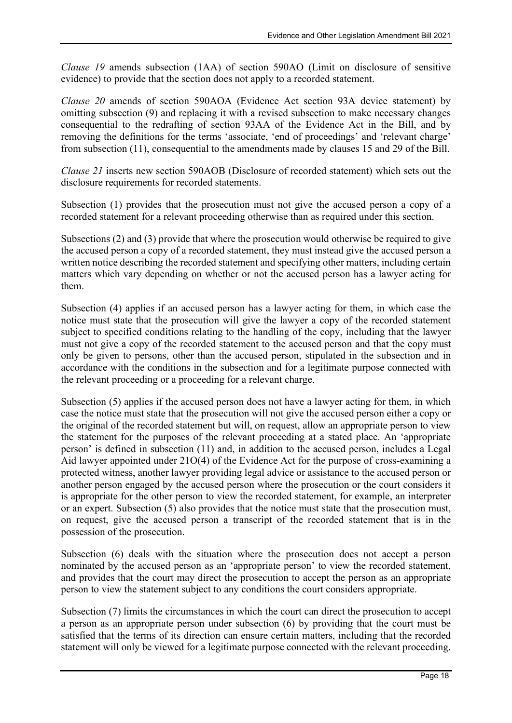Clause 19 amends subsection (1AA) of section 590AO (Limit on disclosure of sensitive evidence) to provide that the section does not apply to a recorded statement.

Clause 20 amends of section 590AOA (Evidence Act section 93A device statement) by omitting subsection (9) and replacing it with a revised subsection to make necessary changes consequential to the redrafting of section 93AA of the Evidence Act in the Bill, and by removing the definitions for the terms 'associate, 'end of proceedings' and 'relevant charge' from subsection (11), consequential to the amendments made by clauses 15 and 29 of the Bill.

Clause 21 inserts new section 590AOB (Disclosure of recorded statement) which sets out the disclosure requirements for recorded statements.

Subsection (1) provides that the prosecution must not give the accused person a copy of a recorded statement for a relevant proceeding otherwise than as required under this section.

Subsections (2) and (3) provide that where the prosecution would otherwise be required to give the accused person a copy of a recorded statement, they must instead give the accused person a written notice describing the recorded statement and specifying other matters, including certain matters which vary depending on whether or not the accused person has a lawyer acting for them.

Subsection (4) applies if an accused person has a lawyer acting for them, in which case the notice must state that the prosecution will give the lawyer a copy of the recorded statement subject to specified conditions relating to the handling of the copy, including that the lawyer must not give a copy of the recorded statement to the accused person and that the copy must only be given to persons, other than the accused person, stipulated in the subsection and in accordance with the conditions in the subsection and for a legitimate purpose connected with the relevant proceeding or a proceeding for a relevant charge.

Subsection (5) applies if the accused person does not have a lawyer acting for them, in which case the notice must state that the prosecution will not give the accused person either a copy or the original of the recorded statement but will, on request, allow an appropriate person to view the statement for the purposes of the relevant proceeding at a stated place. An 'appropriate person' is defined in subsection (11) and, in addition to the accused person, includes a Legal Aid lawyer appointed under 21O(4) of the Evidence Act for the purpose of cross-examining a protected witness, another lawyer providing legal advice or assistance to the accused person or another person engaged by the accused person where the prosecution or the court considers it is appropriate for the other person to view the recorded statement, for example, an interpreter or an expert. Subsection (5) also provides that the notice must state that the prosecution must, on request, give the accused person a transcript of the recorded statement that is in the possession of the prosecution.

Subsection (6) deals with the situation where the prosecution does not accept a person nominated by the accused person as an 'appropriate person' to view the recorded statement, and provides that the court may direct the prosecution to accept the person as an appropriate person to view the statement subject to any conditions the court considers appropriate.

Subsection (7) limits the circumstances in which the court can direct the prosecution to accept a person as an appropriate person under subsection (6) by providing that the court must be satisfied that the terms of its direction can ensure certain matters, including that the recorded statement will only be viewed for a legitimate purpose connected with the relevant proceeding.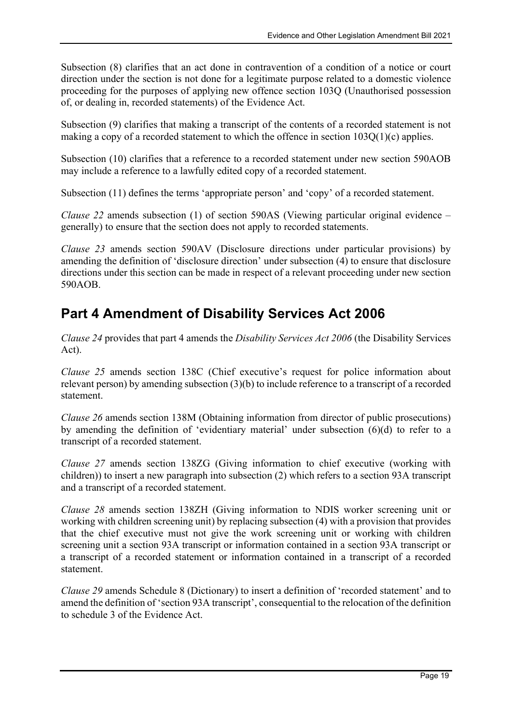Subsection (8) clarifies that an act done in contravention of a condition of a notice or court direction under the section is not done for a legitimate purpose related to a domestic violence proceeding for the purposes of applying new offence section 103Q (Unauthorised possession of, or dealing in, recorded statements) of the Evidence Act.

Subsection (9) clarifies that making a transcript of the contents of a recorded statement is not making a copy of a recorded statement to which the offence in section 103Q(1)(c) applies.

Subsection (10) clarifies that a reference to a recorded statement under new section 590AOB may include a reference to a lawfully edited copy of a recorded statement.

Subsection (11) defines the terms 'appropriate person' and 'copy' of a recorded statement.

Clause 22 amends subsection (1) of section 590AS (Viewing particular original evidence – generally) to ensure that the section does not apply to recorded statements.

Clause 23 amends section 590AV (Disclosure directions under particular provisions) by amending the definition of 'disclosure direction' under subsection (4) to ensure that disclosure directions under this section can be made in respect of a relevant proceeding under new section 590AOB.

# Part 4 Amendment of Disability Services Act 2006

Clause 24 provides that part 4 amends the Disability Services Act 2006 (the Disability Services Act).

Clause 25 amends section 138C (Chief executive's request for police information about relevant person) by amending subsection (3)(b) to include reference to a transcript of a recorded statement.

Clause 26 amends section 138M (Obtaining information from director of public prosecutions) by amending the definition of 'evidentiary material' under subsection (6)(d) to refer to a transcript of a recorded statement.

Clause 27 amends section 138ZG (Giving information to chief executive (working with children)) to insert a new paragraph into subsection (2) which refers to a section 93A transcript and a transcript of a recorded statement.

Clause 28 amends section 138ZH (Giving information to NDIS worker screening unit or working with children screening unit) by replacing subsection (4) with a provision that provides that the chief executive must not give the work screening unit or working with children screening unit a section 93A transcript or information contained in a section 93A transcript or a transcript of a recorded statement or information contained in a transcript of a recorded statement.

Clause 29 amends Schedule 8 (Dictionary) to insert a definition of 'recorded statement' and to amend the definition of 'section 93A transcript', consequential to the relocation of the definition to schedule 3 of the Evidence Act.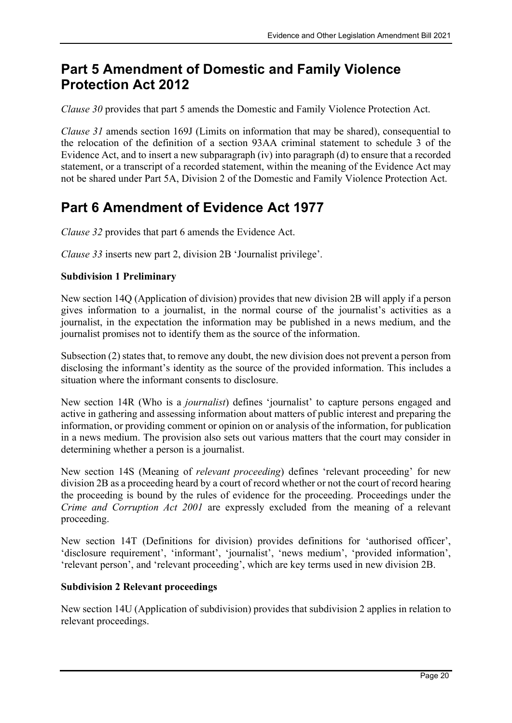### Part 5 Amendment of Domestic and Family Violence Protection Act 2012

Clause 30 provides that part 5 amends the Domestic and Family Violence Protection Act.

Clause 31 amends section 169J (Limits on information that may be shared), consequential to the relocation of the definition of a section 93AA criminal statement to schedule 3 of the Evidence Act, and to insert a new subparagraph (iv) into paragraph (d) to ensure that a recorded statement, or a transcript of a recorded statement, within the meaning of the Evidence Act may not be shared under Part 5A, Division 2 of the Domestic and Family Violence Protection Act.

# Part 6 Amendment of Evidence Act 1977

Clause 32 provides that part 6 amends the Evidence Act.

Clause 33 inserts new part 2, division 2B 'Journalist privilege'.

#### Subdivision 1 Preliminary

New section 14Q (Application of division) provides that new division 2B will apply if a person gives information to a journalist, in the normal course of the journalist's activities as a journalist, in the expectation the information may be published in a news medium, and the journalist promises not to identify them as the source of the information.

Subsection (2) states that, to remove any doubt, the new division does not prevent a person from disclosing the informant's identity as the source of the provided information. This includes a situation where the informant consents to disclosure.

New section 14R (Who is a *journalist*) defines 'journalist' to capture persons engaged and active in gathering and assessing information about matters of public interest and preparing the information, or providing comment or opinion on or analysis of the information, for publication in a news medium. The provision also sets out various matters that the court may consider in determining whether a person is a journalist.

New section 14S (Meaning of relevant proceeding) defines 'relevant proceeding' for new division 2B as a proceeding heard by a court of record whether or not the court of record hearing the proceeding is bound by the rules of evidence for the proceeding. Proceedings under the Crime and Corruption Act 2001 are expressly excluded from the meaning of a relevant proceeding.

New section 14T (Definitions for division) provides definitions for 'authorised officer', 'disclosure requirement', 'informant', 'journalist', 'news medium', 'provided information', 'relevant person', and 'relevant proceeding', which are key terms used in new division 2B.

#### Subdivision 2 Relevant proceedings

New section 14U (Application of subdivision) provides that subdivision 2 applies in relation to relevant proceedings.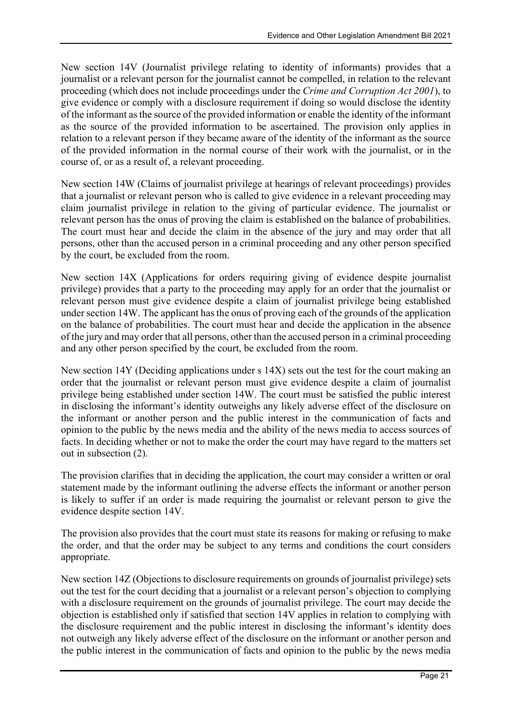New section 14V (Journalist privilege relating to identity of informants) provides that a journalist or a relevant person for the journalist cannot be compelled, in relation to the relevant proceeding (which does not include proceedings under the Crime and Corruption Act 2001), to give evidence or comply with a disclosure requirement if doing so would disclose the identity of the informant as the source of the provided information or enable the identity of the informant as the source of the provided information to be ascertained. The provision only applies in relation to a relevant person if they became aware of the identity of the informant as the source of the provided information in the normal course of their work with the journalist, or in the course of, or as a result of, a relevant proceeding.

New section 14W (Claims of journalist privilege at hearings of relevant proceedings) provides that a journalist or relevant person who is called to give evidence in a relevant proceeding may claim journalist privilege in relation to the giving of particular evidence. The journalist or relevant person has the onus of proving the claim is established on the balance of probabilities. The court must hear and decide the claim in the absence of the jury and may order that all persons, other than the accused person in a criminal proceeding and any other person specified by the court, be excluded from the room.

New section 14X (Applications for orders requiring giving of evidence despite journalist privilege) provides that a party to the proceeding may apply for an order that the journalist or relevant person must give evidence despite a claim of journalist privilege being established under section 14W. The applicant has the onus of proving each of the grounds of the application on the balance of probabilities. The court must hear and decide the application in the absence of the jury and may order that all persons, other than the accused person in a criminal proceeding and any other person specified by the court, be excluded from the room.

New section 14Y (Deciding applications under s 14X) sets out the test for the court making an order that the journalist or relevant person must give evidence despite a claim of journalist privilege being established under section 14W. The court must be satisfied the public interest in disclosing the informant's identity outweighs any likely adverse effect of the disclosure on the informant or another person and the public interest in the communication of facts and opinion to the public by the news media and the ability of the news media to access sources of facts. In deciding whether or not to make the order the court may have regard to the matters set out in subsection (2).

The provision clarifies that in deciding the application, the court may consider a written or oral statement made by the informant outlining the adverse effects the informant or another person is likely to suffer if an order is made requiring the journalist or relevant person to give the evidence despite section 14V.

The provision also provides that the court must state its reasons for making or refusing to make the order, and that the order may be subject to any terms and conditions the court considers appropriate.

New section 14Z (Objections to disclosure requirements on grounds of journalist privilege) sets out the test for the court deciding that a journalist or a relevant person's objection to complying with a disclosure requirement on the grounds of journalist privilege. The court may decide the objection is established only if satisfied that section 14V applies in relation to complying with the disclosure requirement and the public interest in disclosing the informant's identity does not outweigh any likely adverse effect of the disclosure on the informant or another person and the public interest in the communication of facts and opinion to the public by the news media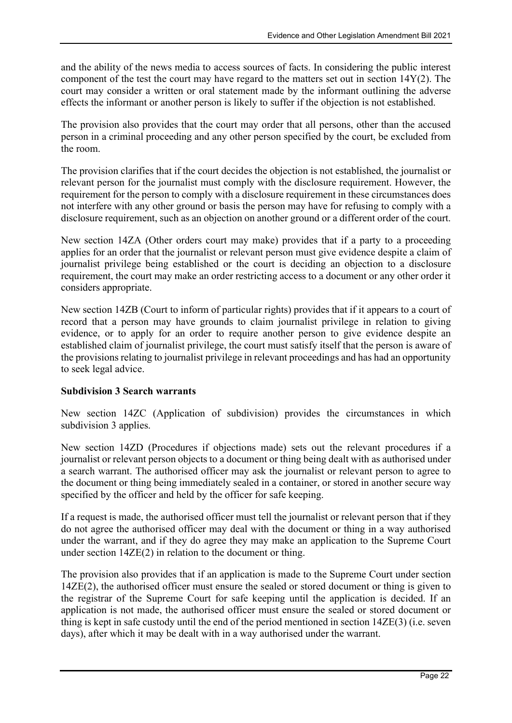and the ability of the news media to access sources of facts. In considering the public interest component of the test the court may have regard to the matters set out in section 14Y(2). The court may consider a written or oral statement made by the informant outlining the adverse effects the informant or another person is likely to suffer if the objection is not established.

The provision also provides that the court may order that all persons, other than the accused person in a criminal proceeding and any other person specified by the court, be excluded from the room.

The provision clarifies that if the court decides the objection is not established, the journalist or relevant person for the journalist must comply with the disclosure requirement. However, the requirement for the person to comply with a disclosure requirement in these circumstances does not interfere with any other ground or basis the person may have for refusing to comply with a disclosure requirement, such as an objection on another ground or a different order of the court.

New section 14ZA (Other orders court may make) provides that if a party to a proceeding applies for an order that the journalist or relevant person must give evidence despite a claim of journalist privilege being established or the court is deciding an objection to a disclosure requirement, the court may make an order restricting access to a document or any other order it considers appropriate.

New section 14ZB (Court to inform of particular rights) provides that if it appears to a court of record that a person may have grounds to claim journalist privilege in relation to giving evidence, or to apply for an order to require another person to give evidence despite an established claim of journalist privilege, the court must satisfy itself that the person is aware of the provisions relating to journalist privilege in relevant proceedings and has had an opportunity to seek legal advice.

#### Subdivision 3 Search warrants

New section 14ZC (Application of subdivision) provides the circumstances in which subdivision 3 applies.

New section 14ZD (Procedures if objections made) sets out the relevant procedures if a journalist or relevant person objects to a document or thing being dealt with as authorised under a search warrant. The authorised officer may ask the journalist or relevant person to agree to the document or thing being immediately sealed in a container, or stored in another secure way specified by the officer and held by the officer for safe keeping.

If a request is made, the authorised officer must tell the journalist or relevant person that if they do not agree the authorised officer may deal with the document or thing in a way authorised under the warrant, and if they do agree they may make an application to the Supreme Court under section 14ZE(2) in relation to the document or thing.

The provision also provides that if an application is made to the Supreme Court under section 14ZE(2), the authorised officer must ensure the sealed or stored document or thing is given to the registrar of the Supreme Court for safe keeping until the application is decided. If an application is not made, the authorised officer must ensure the sealed or stored document or thing is kept in safe custody until the end of the period mentioned in section 14ZE(3) (i.e. seven days), after which it may be dealt with in a way authorised under the warrant.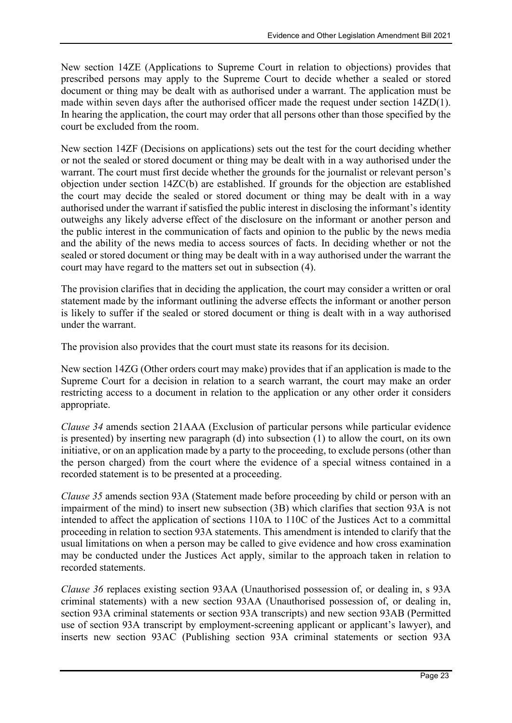New section 14ZE (Applications to Supreme Court in relation to objections) provides that prescribed persons may apply to the Supreme Court to decide whether a sealed or stored document or thing may be dealt with as authorised under a warrant. The application must be made within seven days after the authorised officer made the request under section 14ZD(1). In hearing the application, the court may order that all persons other than those specified by the court be excluded from the room.

New section 14ZF (Decisions on applications) sets out the test for the court deciding whether or not the sealed or stored document or thing may be dealt with in a way authorised under the warrant. The court must first decide whether the grounds for the journalist or relevant person's objection under section 14ZC(b) are established. If grounds for the objection are established the court may decide the sealed or stored document or thing may be dealt with in a way authorised under the warrant if satisfied the public interest in disclosing the informant's identity outweighs any likely adverse effect of the disclosure on the informant or another person and the public interest in the communication of facts and opinion to the public by the news media and the ability of the news media to access sources of facts. In deciding whether or not the sealed or stored document or thing may be dealt with in a way authorised under the warrant the court may have regard to the matters set out in subsection (4).

The provision clarifies that in deciding the application, the court may consider a written or oral statement made by the informant outlining the adverse effects the informant or another person is likely to suffer if the sealed or stored document or thing is dealt with in a way authorised under the warrant.

The provision also provides that the court must state its reasons for its decision.

New section 14ZG (Other orders court may make) provides that if an application is made to the Supreme Court for a decision in relation to a search warrant, the court may make an order restricting access to a document in relation to the application or any other order it considers appropriate.

Clause 34 amends section 21AAA (Exclusion of particular persons while particular evidence is presented) by inserting new paragraph (d) into subsection (1) to allow the court, on its own initiative, or on an application made by a party to the proceeding, to exclude persons (other than the person charged) from the court where the evidence of a special witness contained in a recorded statement is to be presented at a proceeding.

Clause 35 amends section 93A (Statement made before proceeding by child or person with an impairment of the mind) to insert new subsection (3B) which clarifies that section 93A is not intended to affect the application of sections 110A to 110C of the Justices Act to a committal proceeding in relation to section 93A statements. This amendment is intended to clarify that the usual limitations on when a person may be called to give evidence and how cross examination may be conducted under the Justices Act apply, similar to the approach taken in relation to recorded statements.

Clause 36 replaces existing section 93AA (Unauthorised possession of, or dealing in, s 93A criminal statements) with a new section 93AA (Unauthorised possession of, or dealing in, section 93A criminal statements or section 93A transcripts) and new section 93AB (Permitted use of section 93A transcript by employment-screening applicant or applicant's lawyer), and inserts new section 93AC (Publishing section 93A criminal statements or section 93A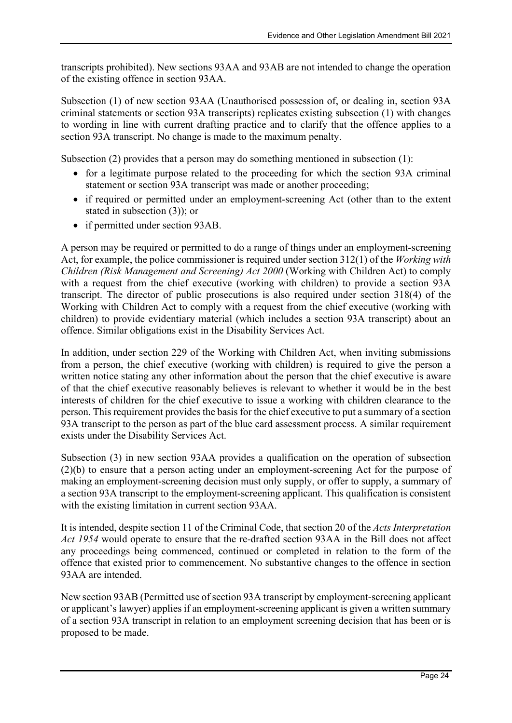transcripts prohibited). New sections 93AA and 93AB are not intended to change the operation of the existing offence in section 93AA.

Subsection (1) of new section 93AA (Unauthorised possession of, or dealing in, section 93A criminal statements or section 93A transcripts) replicates existing subsection (1) with changes to wording in line with current drafting practice and to clarify that the offence applies to a section 93A transcript. No change is made to the maximum penalty.

Subsection (2) provides that a person may do something mentioned in subsection (1):

- for a legitimate purpose related to the proceeding for which the section 93A criminal statement or section 93A transcript was made or another proceeding;
- if required or permitted under an employment-screening Act (other than to the extent stated in subsection (3)); or
- if permitted under section 93AB.

A person may be required or permitted to do a range of things under an employment-screening Act, for example, the police commissioner is required under section 312(1) of the *Working with* Children (Risk Management and Screening) Act 2000 (Working with Children Act) to comply with a request from the chief executive (working with children) to provide a section 93A transcript. The director of public prosecutions is also required under section 318(4) of the Working with Children Act to comply with a request from the chief executive (working with children) to provide evidentiary material (which includes a section 93A transcript) about an offence. Similar obligations exist in the Disability Services Act.

In addition, under section 229 of the Working with Children Act, when inviting submissions from a person, the chief executive (working with children) is required to give the person a written notice stating any other information about the person that the chief executive is aware of that the chief executive reasonably believes is relevant to whether it would be in the best interests of children for the chief executive to issue a working with children clearance to the person. This requirement provides the basis for the chief executive to put a summary of a section 93A transcript to the person as part of the blue card assessment process. A similar requirement exists under the Disability Services Act.

Subsection (3) in new section 93AA provides a qualification on the operation of subsection (2)(b) to ensure that a person acting under an employment-screening Act for the purpose of making an employment-screening decision must only supply, or offer to supply, a summary of a section 93A transcript to the employment-screening applicant. This qualification is consistent with the existing limitation in current section 93AA.

It is intended, despite section 11 of the Criminal Code, that section 20 of the Acts Interpretation Act 1954 would operate to ensure that the re-drafted section 93AA in the Bill does not affect any proceedings being commenced, continued or completed in relation to the form of the offence that existed prior to commencement. No substantive changes to the offence in section 93AA are intended.

New section 93AB (Permitted use of section 93A transcript by employment-screening applicant or applicant's lawyer) applies if an employment-screening applicant is given a written summary of a section 93A transcript in relation to an employment screening decision that has been or is proposed to be made.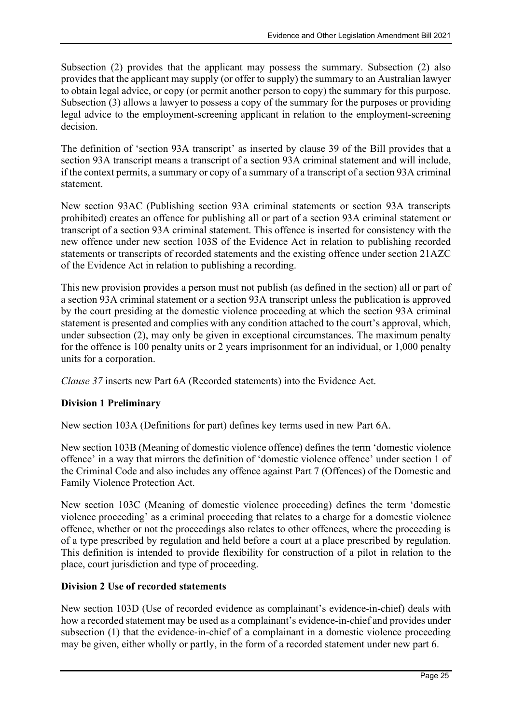Subsection (2) provides that the applicant may possess the summary. Subsection (2) also provides that the applicant may supply (or offer to supply) the summary to an Australian lawyer to obtain legal advice, or copy (or permit another person to copy) the summary for this purpose. Subsection (3) allows a lawyer to possess a copy of the summary for the purposes or providing legal advice to the employment-screening applicant in relation to the employment-screening decision.

The definition of 'section 93A transcript' as inserted by clause 39 of the Bill provides that a section 93A transcript means a transcript of a section 93A criminal statement and will include, if the context permits, a summary or copy of a summary of a transcript of a section 93A criminal statement.

New section 93AC (Publishing section 93A criminal statements or section 93A transcripts prohibited) creates an offence for publishing all or part of a section 93A criminal statement or transcript of a section 93A criminal statement. This offence is inserted for consistency with the new offence under new section 103S of the Evidence Act in relation to publishing recorded statements or transcripts of recorded statements and the existing offence under section 21AZC of the Evidence Act in relation to publishing a recording.

This new provision provides a person must not publish (as defined in the section) all or part of a section 93A criminal statement or a section 93A transcript unless the publication is approved by the court presiding at the domestic violence proceeding at which the section 93A criminal statement is presented and complies with any condition attached to the court's approval, which, under subsection (2), may only be given in exceptional circumstances. The maximum penalty for the offence is 100 penalty units or 2 years imprisonment for an individual, or 1,000 penalty units for a corporation.

Clause 37 inserts new Part 6A (Recorded statements) into the Evidence Act.

#### Division 1 Preliminary

New section 103A (Definitions for part) defines key terms used in new Part 6A.

New section 103B (Meaning of domestic violence offence) defines the term 'domestic violence offence' in a way that mirrors the definition of 'domestic violence offence' under section 1 of the Criminal Code and also includes any offence against Part 7 (Offences) of the Domestic and Family Violence Protection Act.

New section 103C (Meaning of domestic violence proceeding) defines the term 'domestic violence proceeding' as a criminal proceeding that relates to a charge for a domestic violence offence, whether or not the proceedings also relates to other offences, where the proceeding is of a type prescribed by regulation and held before a court at a place prescribed by regulation. This definition is intended to provide flexibility for construction of a pilot in relation to the place, court jurisdiction and type of proceeding.

#### Division 2 Use of recorded statements

New section 103D (Use of recorded evidence as complainant's evidence-in-chief) deals with how a recorded statement may be used as a complainant's evidence-in-chief and provides under subsection (1) that the evidence-in-chief of a complainant in a domestic violence proceeding may be given, either wholly or partly, in the form of a recorded statement under new part 6.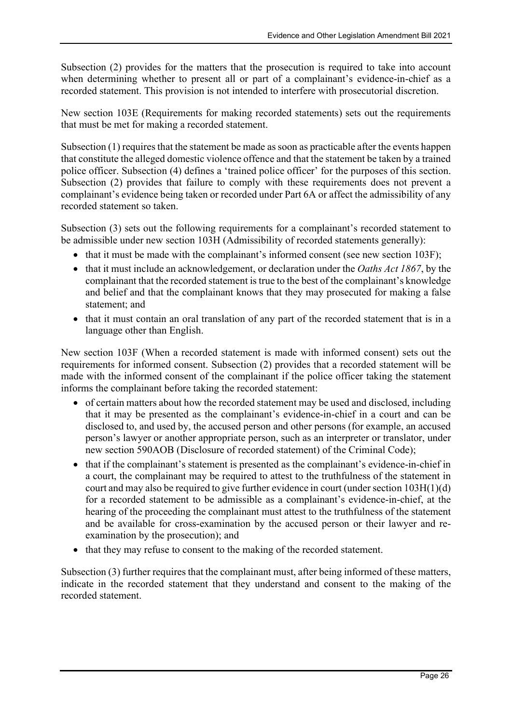Subsection (2) provides for the matters that the prosecution is required to take into account when determining whether to present all or part of a complainant's evidence-in-chief as a recorded statement. This provision is not intended to interfere with prosecutorial discretion.

New section 103E (Requirements for making recorded statements) sets out the requirements that must be met for making a recorded statement.

Subsection (1) requires that the statement be made as soon as practicable after the events happen that constitute the alleged domestic violence offence and that the statement be taken by a trained police officer. Subsection (4) defines a 'trained police officer' for the purposes of this section. Subsection (2) provides that failure to comply with these requirements does not prevent a complainant's evidence being taken or recorded under Part 6A or affect the admissibility of any recorded statement so taken.

Subsection (3) sets out the following requirements for a complainant's recorded statement to be admissible under new section 103H (Admissibility of recorded statements generally):

- that it must be made with the complainant's informed consent (see new section 103F);
- $\bullet$  that it must include an acknowledgement, or declaration under the *Oaths Act 1867*, by the complainant that the recorded statement is true to the best of the complainant's knowledge and belief and that the complainant knows that they may prosecuted for making a false statement; and
- that it must contain an oral translation of any part of the recorded statement that is in a language other than English.

New section 103F (When a recorded statement is made with informed consent) sets out the requirements for informed consent. Subsection (2) provides that a recorded statement will be made with the informed consent of the complainant if the police officer taking the statement informs the complainant before taking the recorded statement:

- of certain matters about how the recorded statement may be used and disclosed, including that it may be presented as the complainant's evidence-in-chief in a court and can be disclosed to, and used by, the accused person and other persons (for example, an accused person's lawyer or another appropriate person, such as an interpreter or translator, under new section 590AOB (Disclosure of recorded statement) of the Criminal Code);
- that if the complainant's statement is presented as the complainant's evidence-in-chief in a court, the complainant may be required to attest to the truthfulness of the statement in court and may also be required to give further evidence in court (under section 103H(1)(d) for a recorded statement to be admissible as a complainant's evidence-in-chief, at the hearing of the proceeding the complainant must attest to the truthfulness of the statement and be available for cross-examination by the accused person or their lawyer and reexamination by the prosecution); and
- that they may refuse to consent to the making of the recorded statement.

Subsection (3) further requires that the complainant must, after being informed of these matters, indicate in the recorded statement that they understand and consent to the making of the recorded statement.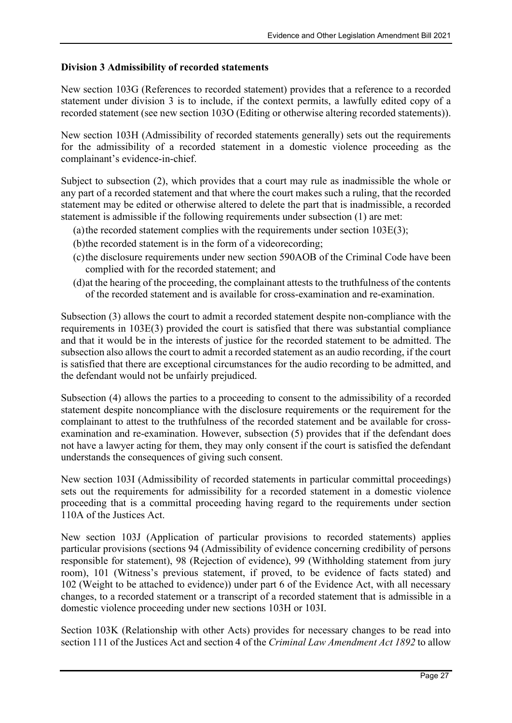#### Division 3 Admissibility of recorded statements

New section 103G (References to recorded statement) provides that a reference to a recorded statement under division 3 is to include, if the context permits, a lawfully edited copy of a recorded statement (see new section 103O (Editing or otherwise altering recorded statements)).

New section 103H (Admissibility of recorded statements generally) sets out the requirements for the admissibility of a recorded statement in a domestic violence proceeding as the complainant's evidence-in-chief.

Subject to subsection (2), which provides that a court may rule as inadmissible the whole or any part of a recorded statement and that where the court makes such a ruling, that the recorded statement may be edited or otherwise altered to delete the part that is inadmissible, a recorded statement is admissible if the following requirements under subsection (1) are met:

- (a) the recorded statement complies with the requirements under section  $103E(3)$ ;
- (b)the recorded statement is in the form of a videorecording;
- (c)the disclosure requirements under new section 590AOB of the Criminal Code have been complied with for the recorded statement; and
- (d)at the hearing of the proceeding, the complainant attests to the truthfulness of the contents of the recorded statement and is available for cross-examination and re-examination.

Subsection (3) allows the court to admit a recorded statement despite non-compliance with the requirements in 103E(3) provided the court is satisfied that there was substantial compliance and that it would be in the interests of justice for the recorded statement to be admitted. The subsection also allows the court to admit a recorded statement as an audio recording, if the court is satisfied that there are exceptional circumstances for the audio recording to be admitted, and the defendant would not be unfairly prejudiced.

Subsection (4) allows the parties to a proceeding to consent to the admissibility of a recorded statement despite noncompliance with the disclosure requirements or the requirement for the complainant to attest to the truthfulness of the recorded statement and be available for crossexamination and re-examination. However, subsection (5) provides that if the defendant does not have a lawyer acting for them, they may only consent if the court is satisfied the defendant understands the consequences of giving such consent.

New section 103I (Admissibility of recorded statements in particular committal proceedings) sets out the requirements for admissibility for a recorded statement in a domestic violence proceeding that is a committal proceeding having regard to the requirements under section 110A of the Justices Act.

New section 103J (Application of particular provisions to recorded statements) applies particular provisions (sections 94 (Admissibility of evidence concerning credibility of persons responsible for statement), 98 (Rejection of evidence), 99 (Withholding statement from jury room), 101 (Witness's previous statement, if proved, to be evidence of facts stated) and 102 (Weight to be attached to evidence)) under part 6 of the Evidence Act, with all necessary changes, to a recorded statement or a transcript of a recorded statement that is admissible in a domestic violence proceeding under new sections 103H or 103I.

Section 103K (Relationship with other Acts) provides for necessary changes to be read into section 111 of the Justices Act and section 4 of the *Criminal Law Amendment Act 1892* to allow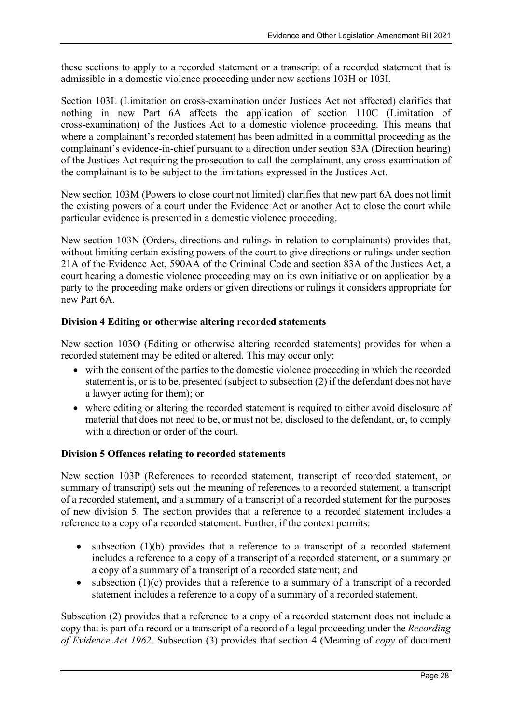these sections to apply to a recorded statement or a transcript of a recorded statement that is admissible in a domestic violence proceeding under new sections 103H or 103I.

Section 103L (Limitation on cross-examination under Justices Act not affected) clarifies that nothing in new Part 6A affects the application of section 110C (Limitation of cross-examination) of the Justices Act to a domestic violence proceeding. This means that where a complainant's recorded statement has been admitted in a committal proceeding as the complainant's evidence-in-chief pursuant to a direction under section 83A (Direction hearing) of the Justices Act requiring the prosecution to call the complainant, any cross-examination of the complainant is to be subject to the limitations expressed in the Justices Act.

New section 103M (Powers to close court not limited) clarifies that new part 6A does not limit the existing powers of a court under the Evidence Act or another Act to close the court while particular evidence is presented in a domestic violence proceeding.

New section 103N (Orders, directions and rulings in relation to complainants) provides that, without limiting certain existing powers of the court to give directions or rulings under section 21A of the Evidence Act, 590AA of the Criminal Code and section 83A of the Justices Act, a court hearing a domestic violence proceeding may on its own initiative or on application by a party to the proceeding make orders or given directions or rulings it considers appropriate for new Part 6A.

#### Division 4 Editing or otherwise altering recorded statements

New section 103O (Editing or otherwise altering recorded statements) provides for when a recorded statement may be edited or altered. This may occur only:

- with the consent of the parties to the domestic violence proceeding in which the recorded statement is, or is to be, presented (subject to subsection (2) if the defendant does not have a lawyer acting for them); or
- where editing or altering the recorded statement is required to either avoid disclosure of material that does not need to be, or must not be, disclosed to the defendant, or, to comply with a direction or order of the court.

#### Division 5 Offences relating to recorded statements

New section 103P (References to recorded statement, transcript of recorded statement, or summary of transcript) sets out the meaning of references to a recorded statement, a transcript of a recorded statement, and a summary of a transcript of a recorded statement for the purposes of new division 5. The section provides that a reference to a recorded statement includes a reference to a copy of a recorded statement. Further, if the context permits:

- $\bullet$  subsection (1)(b) provides that a reference to a transcript of a recorded statement includes a reference to a copy of a transcript of a recorded statement, or a summary or a copy of a summary of a transcript of a recorded statement; and
- $\bullet$  subsection (1)(c) provides that a reference to a summary of a transcript of a recorded statement includes a reference to a copy of a summary of a recorded statement.

Subsection (2) provides that a reference to a copy of a recorded statement does not include a copy that is part of a record or a transcript of a record of a legal proceeding under the Recording of Evidence Act 1962. Subsection (3) provides that section 4 (Meaning of copy of document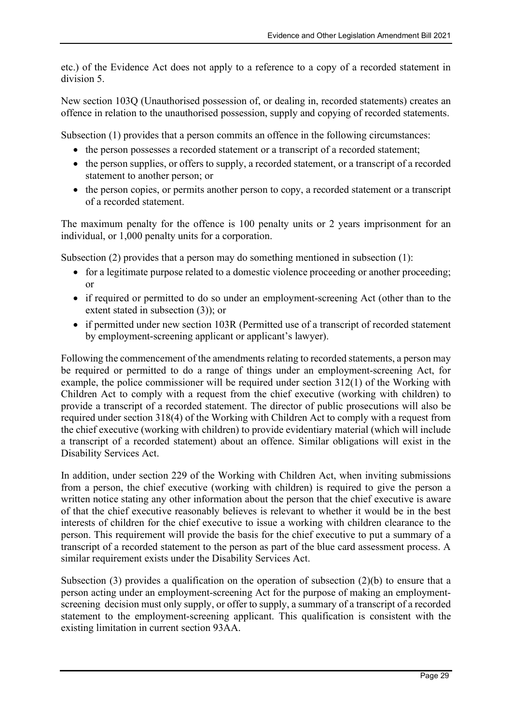etc.) of the Evidence Act does not apply to a reference to a copy of a recorded statement in division 5.

New section 103Q (Unauthorised possession of, or dealing in, recorded statements) creates an offence in relation to the unauthorised possession, supply and copying of recorded statements.

Subsection (1) provides that a person commits an offence in the following circumstances:

- the person possesses a recorded statement or a transcript of a recorded statement;
- the person supplies, or offers to supply, a recorded statement, or a transcript of a recorded statement to another person; or
- the person copies, or permits another person to copy, a recorded statement or a transcript of a recorded statement.

The maximum penalty for the offence is 100 penalty units or 2 years imprisonment for an individual, or 1,000 penalty units for a corporation.

Subsection (2) provides that a person may do something mentioned in subsection (1):

- for a legitimate purpose related to a domestic violence proceeding or another proceeding; or
- if required or permitted to do so under an employment-screening Act (other than to the extent stated in subsection (3)); or
- if permitted under new section 103R (Permitted use of a transcript of recorded statement by employment-screening applicant or applicant's lawyer).

Following the commencement of the amendments relating to recorded statements, a person may be required or permitted to do a range of things under an employment-screening Act, for example, the police commissioner will be required under section 312(1) of the Working with Children Act to comply with a request from the chief executive (working with children) to provide a transcript of a recorded statement. The director of public prosecutions will also be required under section 318(4) of the Working with Children Act to comply with a request from the chief executive (working with children) to provide evidentiary material (which will include a transcript of a recorded statement) about an offence. Similar obligations will exist in the Disability Services Act.

In addition, under section 229 of the Working with Children Act, when inviting submissions from a person, the chief executive (working with children) is required to give the person a written notice stating any other information about the person that the chief executive is aware of that the chief executive reasonably believes is relevant to whether it would be in the best interests of children for the chief executive to issue a working with children clearance to the person. This requirement will provide the basis for the chief executive to put a summary of a transcript of a recorded statement to the person as part of the blue card assessment process. A similar requirement exists under the Disability Services Act.

Subsection (3) provides a qualification on the operation of subsection (2)(b) to ensure that a person acting under an employment-screening Act for the purpose of making an employmentscreening decision must only supply, or offer to supply, a summary of a transcript of a recorded statement to the employment-screening applicant. This qualification is consistent with the existing limitation in current section 93AA.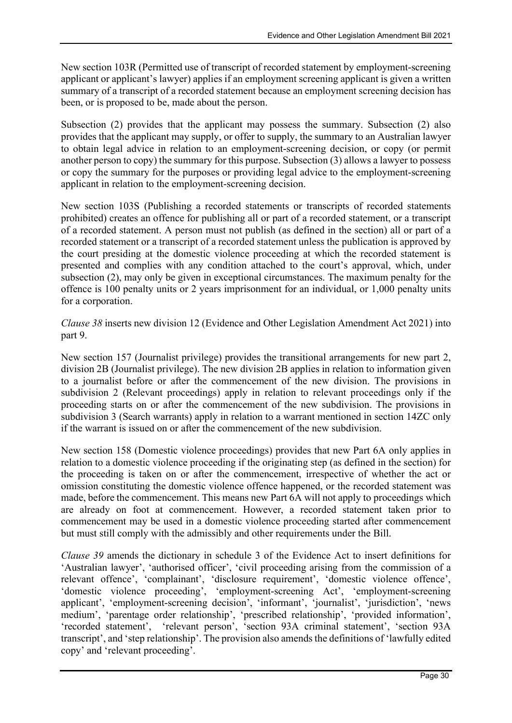New section 103R (Permitted use of transcript of recorded statement by employment-screening applicant or applicant's lawyer) applies if an employment screening applicant is given a written summary of a transcript of a recorded statement because an employment screening decision has been, or is proposed to be, made about the person.

Subsection (2) provides that the applicant may possess the summary. Subsection (2) also provides that the applicant may supply, or offer to supply, the summary to an Australian lawyer to obtain legal advice in relation to an employment-screening decision, or copy (or permit another person to copy) the summary for this purpose. Subsection (3) allows a lawyer to possess or copy the summary for the purposes or providing legal advice to the employment-screening applicant in relation to the employment-screening decision.

New section 103S (Publishing a recorded statements or transcripts of recorded statements prohibited) creates an offence for publishing all or part of a recorded statement, or a transcript of a recorded statement. A person must not publish (as defined in the section) all or part of a recorded statement or a transcript of a recorded statement unless the publication is approved by the court presiding at the domestic violence proceeding at which the recorded statement is presented and complies with any condition attached to the court's approval, which, under subsection (2), may only be given in exceptional circumstances. The maximum penalty for the offence is 100 penalty units or 2 years imprisonment for an individual, or 1,000 penalty units for a corporation.

Clause 38 inserts new division 12 (Evidence and Other Legislation Amendment Act 2021) into part 9.

New section 157 (Journalist privilege) provides the transitional arrangements for new part 2, division 2B (Journalist privilege). The new division 2B applies in relation to information given to a journalist before or after the commencement of the new division. The provisions in subdivision 2 (Relevant proceedings) apply in relation to relevant proceedings only if the proceeding starts on or after the commencement of the new subdivision. The provisions in subdivision 3 (Search warrants) apply in relation to a warrant mentioned in section 14ZC only if the warrant is issued on or after the commencement of the new subdivision.

New section 158 (Domestic violence proceedings) provides that new Part 6A only applies in relation to a domestic violence proceeding if the originating step (as defined in the section) for the proceeding is taken on or after the commencement, irrespective of whether the act or omission constituting the domestic violence offence happened, or the recorded statement was made, before the commencement. This means new Part 6A will not apply to proceedings which are already on foot at commencement. However, a recorded statement taken prior to commencement may be used in a domestic violence proceeding started after commencement but must still comply with the admissibly and other requirements under the Bill.

Clause 39 amends the dictionary in schedule 3 of the Evidence Act to insert definitions for 'Australian lawyer', 'authorised officer', 'civil proceeding arising from the commission of a relevant offence', 'complainant', 'disclosure requirement', 'domestic violence offence', 'domestic violence proceeding', 'employment-screening Act', 'employment-screening applicant', 'employment-screening decision', 'informant', 'journalist', 'jurisdiction', 'news medium', 'parentage order relationship', 'prescribed relationship', 'provided information', 'recorded statement', 'relevant person', 'section 93A criminal statement', 'section 93A transcript', and 'step relationship'. The provision also amends the definitions of 'lawfully edited copy' and 'relevant proceeding'.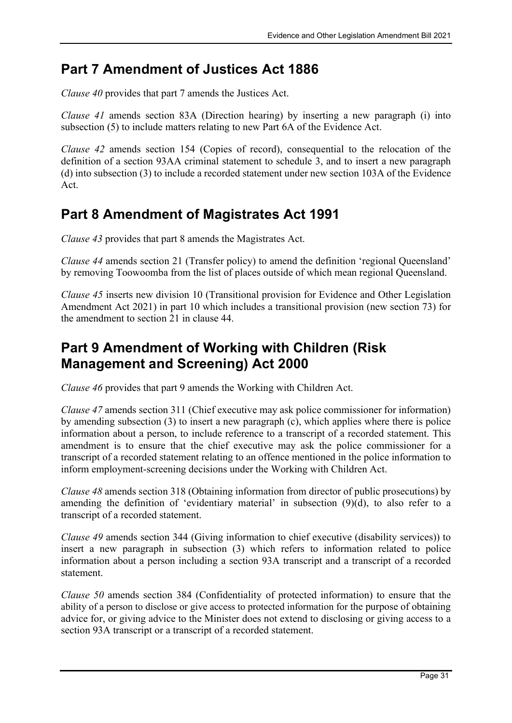### Part 7 Amendment of Justices Act 1886

Clause 40 provides that part 7 amends the Justices Act.

Clause 41 amends section 83A (Direction hearing) by inserting a new paragraph (i) into subsection (5) to include matters relating to new Part 6A of the Evidence Act.

Clause 42 amends section 154 (Copies of record), consequential to the relocation of the definition of a section 93AA criminal statement to schedule 3, and to insert a new paragraph (d) into subsection (3) to include a recorded statement under new section 103A of the Evidence Act.

## Part 8 Amendment of Magistrates Act 1991

Clause 43 provides that part 8 amends the Magistrates Act.

Clause 44 amends section 21 (Transfer policy) to amend the definition 'regional Queensland' by removing Toowoomba from the list of places outside of which mean regional Queensland.

Clause 45 inserts new division 10 (Transitional provision for Evidence and Other Legislation Amendment Act 2021) in part 10 which includes a transitional provision (new section 73) for the amendment to section 21 in clause 44.

### Part 9 Amendment of Working with Children (Risk Management and Screening) Act 2000

Clause 46 provides that part 9 amends the Working with Children Act.

Clause 47 amends section 311 (Chief executive may ask police commissioner for information) by amending subsection (3) to insert a new paragraph (c), which applies where there is police information about a person, to include reference to a transcript of a recorded statement. This amendment is to ensure that the chief executive may ask the police commissioner for a transcript of a recorded statement relating to an offence mentioned in the police information to inform employment-screening decisions under the Working with Children Act.

Clause 48 amends section 318 (Obtaining information from director of public prosecutions) by amending the definition of 'evidentiary material' in subsection (9)(d), to also refer to a transcript of a recorded statement.

Clause 49 amends section 344 (Giving information to chief executive (disability services)) to insert a new paragraph in subsection (3) which refers to information related to police information about a person including a section 93A transcript and a transcript of a recorded statement.

Clause 50 amends section 384 (Confidentiality of protected information) to ensure that the ability of a person to disclose or give access to protected information for the purpose of obtaining advice for, or giving advice to the Minister does not extend to disclosing or giving access to a section 93A transcript or a transcript of a recorded statement.